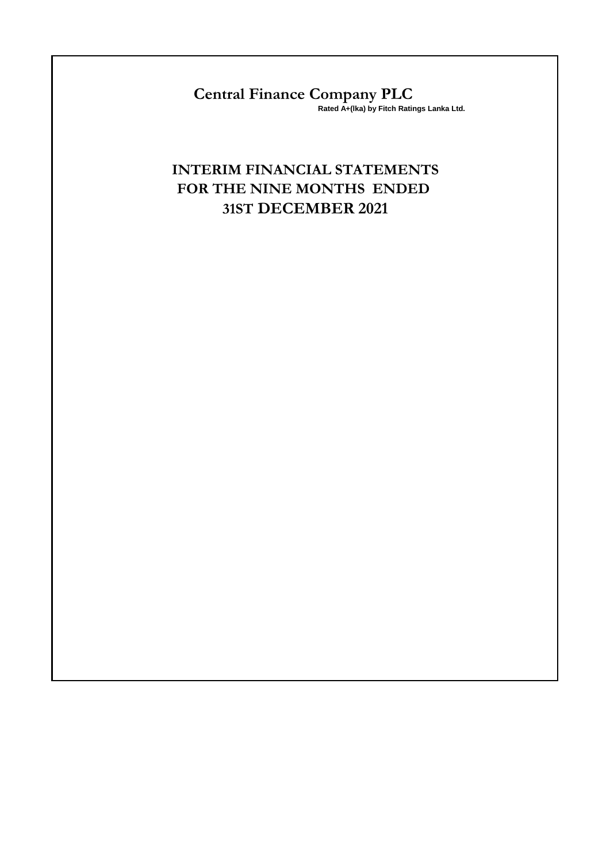**Central Finance Company PLC Rated A+(lka) by Fitch Ratings Lanka Ltd.**

# **INTERIM FINANCIAL STATEMENTS FOR THE NINE MONTHS ENDED 31ST DECEMBER 2021**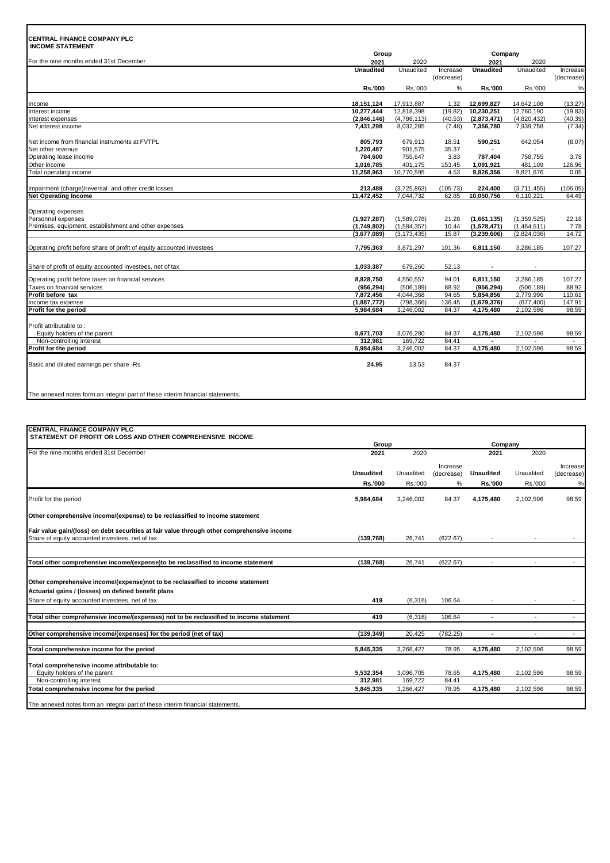# **CENTRAL FINANCE COMPANY PLC**

| <b>CENTRAL FINANCE COMPANY PLC</b><br><b>INCOME STATEMENT</b>         |                  |               |            |                  |             |            |  |
|-----------------------------------------------------------------------|------------------|---------------|------------|------------------|-------------|------------|--|
|                                                                       | Group            |               |            | Company          |             |            |  |
| For the nine months ended 31st December                               | 2021             | 2020          |            | 2021             | 2020        |            |  |
|                                                                       | <b>Unaudited</b> | Unaudited     | Increase   | <b>Unaudited</b> | Unaudited   | Increase   |  |
|                                                                       |                  |               | (decrease) |                  |             | (decrease) |  |
|                                                                       | Rs.'000          | Rs.'000       | %          | Rs.'000          | Rs.'000     | %          |  |
| Income                                                                | 18.151.124       | 17.913.887    | 1.32       | 12,699,827       | 14.642.108  | (13.27)    |  |
| Interest income                                                       | 10,277,444       | 12,818,398    | (19.82)    | 10,230,251       | 12,760,190  | (19.83)    |  |
| Interest expenses                                                     | (2,846,146)      | (4,786,113)   | (40.53)    | (2,873,471)      | (4,820,432) | (40.39)    |  |
| Net interest income                                                   | 7,431,298        | 8,032,285     | (7.48)     | 7,356,780        | 7,939,758   | (7.34)     |  |
| Net income from financial instruments at FVTPL                        | 805,793          | 679,913       | 18.51      | 590,251          | 642,054     | (8.07)     |  |
| Net other revenue                                                     | 1,220,487        | 901,575       | 35.37      | $\blacksquare$   |             |            |  |
| Operating lease income                                                | 784,600          | 755,647       | 3.83       | 787,404          | 758,755     | 3.78       |  |
| Other income                                                          | 1,016,785        | 401,175       | 153.45     | 1,091,921        | 481,109     | 126.96     |  |
| Total operating income                                                | 11,258,963       | 10,770,595    | 4.53       | 9,826,356        | 9,821,676   | 0.05       |  |
| Impairment (charge)/reversal and other credit losses                  | 213,489          | (3,725,863)   | (105.73)   | 224,400          | (3,711,455) | (106.05)   |  |
| <b>Net Operating Income</b>                                           | 11,472,452       | 7,044,732     | 62.85      | 10,050,756       | 6,110,221   | 64.49      |  |
|                                                                       |                  |               |            |                  |             |            |  |
| Operating expenses                                                    |                  |               |            |                  |             |            |  |
| Personnel expenses                                                    | (1,927,287)      | (1,589,078)   | 21.28      | (1,661,135)      | (1,359,525) | 22.18      |  |
| Premises, equipment, establishment and other expenses                 | (1,749,802)      | (1,584,357)   | 10.44      | (1,578,471)      | (1,464,511) | 7.78       |  |
|                                                                       | (3,677,089)      | (3, 173, 435) | 15.87      | (3,239,606)      | (2,824,036) | 14.72      |  |
| Operating profit before share of profit of equity accounted investees | 7,795,363        | 3,871,297     | 101.36     | 6,811,150        | 3,286,185   | 107.27     |  |
| Share of profit of equity accounted investees, net of tax             | 1,033,387        | 679,260       | 52.13      |                  |             |            |  |
| Operating profit before taxes on financial services                   | 8,828,750        | 4,550,557     | 94.01      | 6,811,150        | 3,286,185   | 107.27     |  |
| Taxes on financial services                                           | (956, 294)       | (506, 189)    | 88.92      | (956, 294)       | (506, 189)  | 88.92      |  |
| Profit before tax                                                     | 7,872,456        | 4,044,368     | 94.65      | 5,854,856        | 2,779,996   | 110.61     |  |
| Income tax expense                                                    | (1,887,772)      | (798, 366)    | 136.45     | (1,679,376)      | (677, 400)  | 147.91     |  |
| Profit for the period                                                 | 5.984.684        | 3,246,002     | 84.37      | 4,175,480        | 2,102,596   | 98.59      |  |
|                                                                       |                  |               |            |                  |             |            |  |
| Profit attributable to:                                               |                  |               |            |                  |             |            |  |
| Equity holders of the parent                                          | 5,671,703        | 3,076,280     | 84.37      | 4,175,480        | 2,102,596   | 98.59      |  |
| Non-controlling interest                                              | 312,981          | 169,722       | 84.41      |                  |             |            |  |
| Profit for the period                                                 | 5,984,684        | 3,246,002     | 84.37      | 4,175,480        | 2,102,596   | 98.59      |  |
| Basic and diluted earnings per share -Rs.                             | 24.95            | 13.53         | 84.37      |                  |             |            |  |
|                                                                       |                  |               |            |                  |             |            |  |

# The annexed notes form an integral part of these interim financial statements.

| 2021             | 2020                                              |                                                 | 2021                                                          | 2020                     |                    |  |
|------------------|---------------------------------------------------|-------------------------------------------------|---------------------------------------------------------------|--------------------------|--------------------|--|
|                  |                                                   |                                                 |                                                               |                          | Increase           |  |
| <b>Unaudited</b> | Unaudited                                         |                                                 | <b>Unaudited</b>                                              | Unaudited                | (decrease)         |  |
|                  |                                                   |                                                 |                                                               |                          |                    |  |
|                  |                                                   |                                                 |                                                               |                          | %                  |  |
| 5,984,684        | 3,246,002                                         | 84.37                                           | 4,175,480                                                     | 2,102,596                | 98.59              |  |
|                  |                                                   |                                                 |                                                               |                          |                    |  |
|                  |                                                   |                                                 |                                                               |                          |                    |  |
|                  |                                                   |                                                 |                                                               |                          |                    |  |
|                  |                                                   |                                                 |                                                               |                          |                    |  |
| (139, 768)       | 26,741                                            | (622.67)                                        | $\overline{\phantom{a}}$                                      | $\overline{\phantom{a}}$ | $\sim$             |  |
|                  |                                                   |                                                 |                                                               |                          |                    |  |
|                  |                                                   |                                                 |                                                               |                          |                    |  |
|                  |                                                   |                                                 |                                                               |                          |                    |  |
|                  |                                                   |                                                 |                                                               |                          |                    |  |
| 419              | (6, 316)                                          | 106.64                                          |                                                               | $\overline{\phantom{a}}$ | $\sim$             |  |
|                  |                                                   |                                                 |                                                               |                          |                    |  |
|                  |                                                   |                                                 | $\blacksquare$                                                |                          | $\sim$             |  |
| 5,845,335        | 3,266,427                                         | 78.95                                           | 4,175,480                                                     | 2,102,596                | 98.59              |  |
|                  |                                                   |                                                 |                                                               |                          |                    |  |
| 5,532,354        | 3,096,705                                         | 78.65                                           | 4,175,480                                                     | 2,102,596                | 98.59              |  |
| 312,981          | 169,722                                           | 84.41                                           |                                                               |                          |                    |  |
| 5.845.335        | 3,266,427                                         | 78.95                                           | 4,175,480                                                     | 2,102,596                | 98.59              |  |
|                  | <b>Rs.'000</b><br>(139, 768)<br>419<br>(139, 349) | Group<br>Rs.'000<br>26,741<br>(6,316)<br>20.425 | Increase<br>(decrease)<br>%<br>(622.67)<br>106.64<br>(782.25) | <b>Rs.'000</b>           | Company<br>Rs.'000 |  |

The annexed notes form an integral part of these interim financial statements.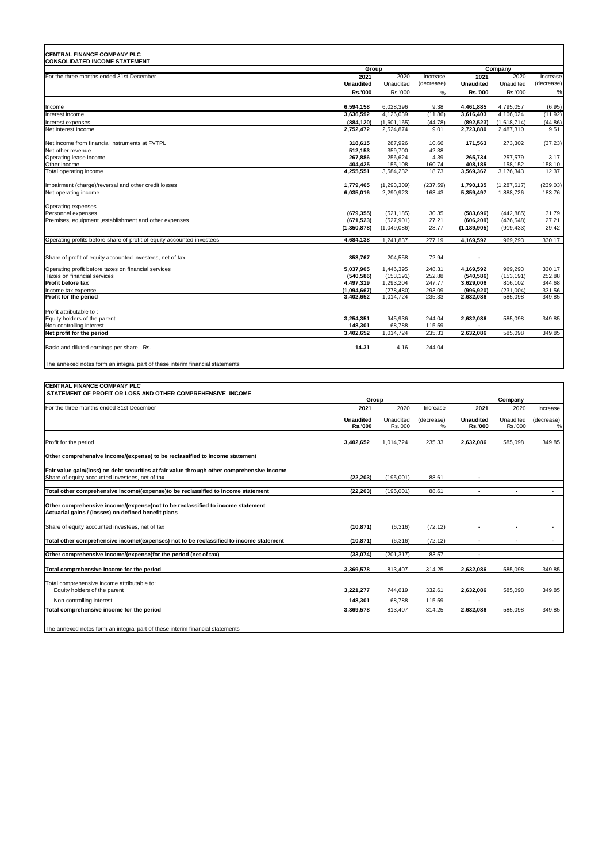| <b>CENTRAL FINANCE COMPANY PLC</b><br><b>CONSOLIDATED INCOME STATEMENT</b>                                                                    |                             |                            |                             |                             |                            |                          |
|-----------------------------------------------------------------------------------------------------------------------------------------------|-----------------------------|----------------------------|-----------------------------|-----------------------------|----------------------------|--------------------------|
|                                                                                                                                               | Group                       |                            |                             |                             | Company                    |                          |
| For the three months ended 31st December                                                                                                      | 2021<br><b>Unaudited</b>    | 2020<br>Unaudited          | Increase                    | 2021<br><b>Unaudited</b>    | 2020<br>Unaudited          | Increase                 |
|                                                                                                                                               | Rs.'000                     | Rs.'000                    | (decrease)<br>%             | Rs.'000                     | Rs.'000                    | (decrease)<br>%          |
| Income                                                                                                                                        | 6,594,158                   | 6,028,396                  | 9.38                        | 4,461,885                   | 4,795,057                  | (6.95)                   |
| Interest income                                                                                                                               | 3,636,592                   | 4,126,039                  | (11.86)                     | 3,616,403                   | 4,106,024                  | (11.92)                  |
| Interest expenses                                                                                                                             | (884, 120)                  | (1,601,165)                | (44.78)                     | (892, 523)                  | (1,618,714)                | (44.86)                  |
| Net interest income                                                                                                                           | 2,752,472                   | 2,524,874                  | 9.01                        | 2,723,880                   | 2,487,310                  | 9.51                     |
| Net income from financial instruments at FVTPL                                                                                                | 318,615                     | 287,926                    | 10.66                       | 171,563                     | 273,302                    | (37.23)                  |
| Net other revenue                                                                                                                             | 512,153                     | 359,700                    | 42.38                       |                             |                            |                          |
| Operating lease income<br>Other income                                                                                                        | 267,886<br>404,425          | 256,624<br>155,108         | 4.39<br>160.74              | 265,734<br>408,185          | 257,579<br>158,152         | 3.17<br>158.10           |
| Total operating income                                                                                                                        | 4,255,551                   | 3,584,232                  | 18.73                       | 3,569,362                   | 3,176,343                  | 12.37                    |
|                                                                                                                                               |                             |                            | (237.59)                    |                             |                            |                          |
| Impairment (charge)/reversal and other credit losses<br>Net operating income                                                                  | 1,779,465<br>6,035,016      | (1, 293, 309)<br>2,290,923 | 163.43                      | 1,790,135<br>5,359,497      | (1, 287, 617)<br>1,888,726 | (239.03)<br>183.76       |
|                                                                                                                                               |                             |                            |                             |                             |                            |                          |
| Operating expenses                                                                                                                            |                             |                            |                             |                             |                            |                          |
| Personnel expenses<br>Premises, equipment ,establishment and other expenses                                                                   | (679, 355)<br>(671, 523)    | (521, 185)<br>(527, 901)   | 30.35<br>27.21              | (583, 696)<br>(606, 209)    | (442, 885)<br>(476, 548)   | 31.79<br>27.21           |
|                                                                                                                                               | (1,350,878)                 | (1,049,086)                | 28.77                       | (1, 189, 905)               | (919, 433)                 | 29.42                    |
| Operating profits before share of profit of equity accounted investees                                                                        | 4,684,138                   | 1,241,837                  | 277.19                      | 4,169,592                   | 969,293                    | 330.17                   |
|                                                                                                                                               |                             |                            |                             |                             |                            |                          |
| Share of profit of equity accounted investees, net of tax                                                                                     | 353,767                     | 204,558                    | 72.94                       | $\overline{\phantom{a}}$    |                            | $\overline{\phantom{a}}$ |
| Operating profit before taxes on financial services                                                                                           | 5,037,905                   | 1,446,395                  | 248.31                      | 4,169,592                   | 969,293                    | 330.17                   |
| Taxes on financial services                                                                                                                   | (540, 586)                  | (153, 191)                 | 252.88                      | (540, 586)                  | (153, 191)                 | 252.88                   |
| Profit before tax<br>Income tax expense                                                                                                       | 4,497,319<br>(1,094,667)    | 1,293,204<br>(278, 480)    | 247.77<br>293.09            | 3,629,006<br>(996, 920)     | 816,102<br>(231, 004)      | 344.68<br>331.56         |
| Profit for the period                                                                                                                         | 3,402,652                   | 1,014,724                  | 235.33                      | 2,632,086                   | 585,098                    | 349.85                   |
|                                                                                                                                               |                             |                            |                             |                             |                            |                          |
| Profit attributable to:<br>Equity holders of the parent                                                                                       | 3,254,351                   | 945,936                    | 244.04                      | 2,632,086                   | 585,098                    | 349.85                   |
| Non-controlling interest                                                                                                                      | 148,301                     | 68,788                     | 115.59                      |                             |                            |                          |
| Net profit for the period                                                                                                                     | 3,402,652                   | 1,014,724                  | 235.33                      | 2,632,086                   | 585,098                    | 349.85                   |
| Basic and diluted earnings per share - Rs.                                                                                                    | 14.31                       | 4.16                       | 244.04                      |                             |                            |                          |
| The annexed notes form an integral part of these interim financial statements                                                                 |                             |                            |                             |                             |                            |                          |
|                                                                                                                                               |                             |                            |                             |                             |                            |                          |
| <b>CENTRAL FINANCE COMPANY PLC</b><br>STATEMENT OF PROFIT OR LOSS AND OTHER COMPREHENSIVE INCOME                                              |                             |                            |                             |                             |                            |                          |
|                                                                                                                                               | Group                       |                            |                             |                             | Company                    |                          |
| For the three months ended 31st December                                                                                                      | 2021                        | 2020                       | Increase                    | 2021                        | 2020                       | Increase                 |
|                                                                                                                                               | <b>Unaudited</b><br>Rs.'000 | Unaudited<br>Rs.'000       | (decrease)<br>$\frac{9}{6}$ | <b>Unaudited</b><br>Rs.'000 | Unaudited<br>Rs.'000       | (decrease)<br>$\%$       |
| Profit for the period                                                                                                                         | 3,402,652                   | 1,014,724                  | 235.33                      | 2,632,086                   | 585,098                    | 349.85                   |
| Other comprehensive income/(expense) to be reclassified to income statement                                                                   |                             |                            |                             |                             |                            |                          |
| Fair value gain/(loss) on debt securities at fair value through other comprehensive income<br>Share of equity accounted investees, net of tax | (22, 203)                   | (195,001)                  | 88.61                       |                             |                            |                          |
| Total other comprehensive income/(expense)to be reclassified to income statement                                                              | (22, 203)                   | (195,001)                  | 88.61                       |                             |                            | $\overline{\phantom{a}}$ |
| Other comprehensive income/(expense)not to be reclassified to income statement<br>Actuarial gains / (losses) on defined benefit plans         |                             |                            |                             |                             |                            |                          |
| Share of equity accounted investees, net of tax                                                                                               | (10, 871)                   | (6, 316)                   | (72.12)                     |                             |                            |                          |
| Total other comprehensive income/(expenses) not to be reclassified to income statement                                                        | (10, 871)                   | (6, 316)                   | (72.12)                     | $\blacksquare$              | ÷,                         | $\blacksquare$           |
| Other comprehensive income/(expense)for the period (net of tax)                                                                               | (33,074)                    | (201, 317)                 | 83.57                       | $\sim$                      | $\sim$                     | $\sim$                   |
| Total comprehensive income for the period                                                                                                     | 3,369,578                   | 813,407                    | 314.25                      | 2,632,086                   | 585,098                    | 349.85                   |
|                                                                                                                                               |                             |                            |                             |                             |                            |                          |

Total comprehensive income attributable to: Equity holders of the parent **3,221,277** 744,619 332.61 **2,632,086** 585,098 349.85 Non-controlling interest **148,301** 68,788 115.59 **-** - - **Total comprehensive income for the period 3,369,578** 813,407 314.25 **2,632,086** 585,098 349.85 The annexed notes form an integral part of these interim financial statements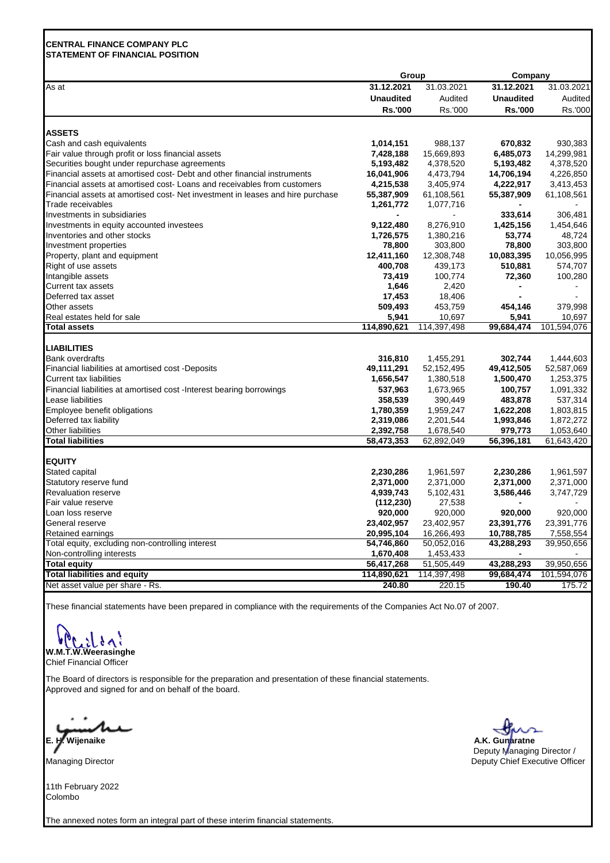# **CENTRAL FINANCE COMPANY PLC STATEMENT OF FINANCIAL POSITION**

|                                                                                | Group            |             |                  | Company        |
|--------------------------------------------------------------------------------|------------------|-------------|------------------|----------------|
| As at                                                                          | 31.12.2021       | 31.03.2021  | 31.12.2021       | 31.03.2021     |
|                                                                                | <b>Unaudited</b> | Audited     | <b>Unaudited</b> | Audited        |
|                                                                                | <b>Rs.'000</b>   | Rs.'000     | <b>Rs.'000</b>   | Rs.'000        |
| <b>ASSETS</b>                                                                  |                  |             |                  |                |
| Cash and cash equivalents                                                      | 1,014,151        | 988,137     | 670,832          | 930,383        |
| Fair value through profit or loss financial assets                             | 7,428,188        | 15,669,893  | 6,485,073        | 14,299,981     |
| Securities bought under repurchase agreements                                  | 5,193,482        | 4,378,520   | 5,193,482        | 4,378,520      |
| Financial assets at amortised cost- Debt and other financial instruments       | 16,041,906       | 4,473,794   | 14,706,194       | 4,226,850      |
| Financial assets at amortised cost- Loans and receivables from customers       | 4,215,538        | 3,405,974   | 4,222,917        | 3,413,453      |
| Financial assets at amortised cost- Net investment in leases and hire purchase | 55,387,909       | 61,108,561  | 55,387,909       | 61,108,561     |
| Trade receivables                                                              | 1,261,772        | 1,077,716   |                  |                |
| Investments in subsidiaries                                                    |                  |             | 333,614          | 306,481        |
| Investments in equity accounted investees                                      | 9,122,480        | 8,276,910   | 1,425,156        | 1,454,646      |
| Inventories and other stocks                                                   | 1,726,575        | 1,380,216   | 53,774           | 48,724         |
| Investment properties                                                          | 78,800           | 303,800     | 78,800           | 303,800        |
| Property, plant and equipment                                                  | 12,411,160       | 12,308,748  | 10,083,395       | 10,056,995     |
| Right of use assets                                                            | 400,708          | 439,173     | 510,881          | 574,707        |
| Intangible assets                                                              | 73,419           | 100,774     | 72,360           | 100,280        |
| Current tax assets                                                             | 1,646            | 2,420       |                  | $\blacksquare$ |
| Deferred tax asset                                                             | 17,453           | 18,406      |                  |                |
| Other assets                                                                   | 509,493          | 453,759     | 454,146          | 379,998        |
| Real estates held for sale                                                     | 5,941            | 10,697      | 5,941            | 10,697         |
| <b>Total assets</b>                                                            | 114,890,621      | 114,397,498 | 99,684,474       | 101,594,076    |
|                                                                                |                  |             |                  |                |
| <b>LIABILITIES</b>                                                             |                  |             |                  |                |
| Bank overdrafts                                                                | 316,810          | 1,455,291   | 302,744          | 1,444,603      |
| Financial liabilities at amortised cost -Deposits                              | 49,111,291       | 52,152,495  | 49,412,505       | 52,587,069     |
| Current tax liabilities                                                        | 1,656,547        | 1,380,518   | 1,500,470        | 1,253,375      |
| Financial liabilities at amortised cost -Interest bearing borrowings           | 537,963          | 1,673,965   | 100,757          | 1,091,332      |
| Lease liabilities                                                              | 358,539          | 390,449     | 483,878          | 537,314        |
| Employee benefit obligations                                                   | 1,780,359        | 1,959,247   | 1,622,208        | 1,803,815      |
| Deferred tax liability                                                         | 2,319,086        | 2,201,544   | 1,993,846        | 1,872,272      |
| Other liabilities                                                              | 2,392,758        | 1,678,540   | 979,773          | 1,053,640      |
| <b>Total liabilities</b>                                                       | 58,473,353       | 62,892,049  | 56,396,181       | 61,643,420     |
| <b>EQUITY</b>                                                                  |                  |             |                  |                |
| Stated capital                                                                 | 2,230,286        | 1,961,597   | 2,230,286        | 1,961,597      |
| Statutory reserve fund                                                         | 2,371,000        | 2,371,000   | 2,371,000        | 2,371,000      |
| <b>Revaluation reserve</b>                                                     | 4,939,743        | 5,102,431   | 3,586,446        | 3,747,729      |
| Fair value reserve                                                             | (112, 230)       | 27,538      |                  |                |
| Loan loss reserve                                                              | 920,000          | 920,000     | 920,000          | 920,000        |
| General reserve                                                                | 23,402,957       | 23,402,957  | 23,391,776       | 23,391,776     |
| Retained earnings                                                              | 20,995,104       | 16,266,493  | 10,788,785       | 7,558,554      |
| Total equity, excluding non-controlling interest                               | 54,746,860       | 50,052,016  | 43,288,293       | 39,950,656     |
| Non-controlling interests                                                      | 1,670,408        | 1,453,433   |                  |                |
| <b>Total equity</b>                                                            | 56,417,268       | 51,505,449  | 43,288,293       | 39,950,656     |
| <b>Total liabilities and equity</b>                                            | 114,890,621      | 114,397,498 | 99,684,474       | 101,594,076    |
| Net asset value per share - Rs.                                                | 240.80           | 220.15      | 190.40           | 175.72         |

These financial statements have been prepared in compliance with the requirements of the Companies Act No.07 of 2007.

しゅく

**W.M.T.W.Weerasinghe** Chief Financial Officer

The Board of directors is responsible for the preparation and presentation of these financial statements. Approved and signed for and on behalf of the board.

٠ **E. H. Wijenaike A.K. Gunaratne** 

Managing Director

11th February 2022 Colombo

The annexed notes form an integral part of these interim financial statements.



 Deputy Managing Director / Deputy Chief Executive Officer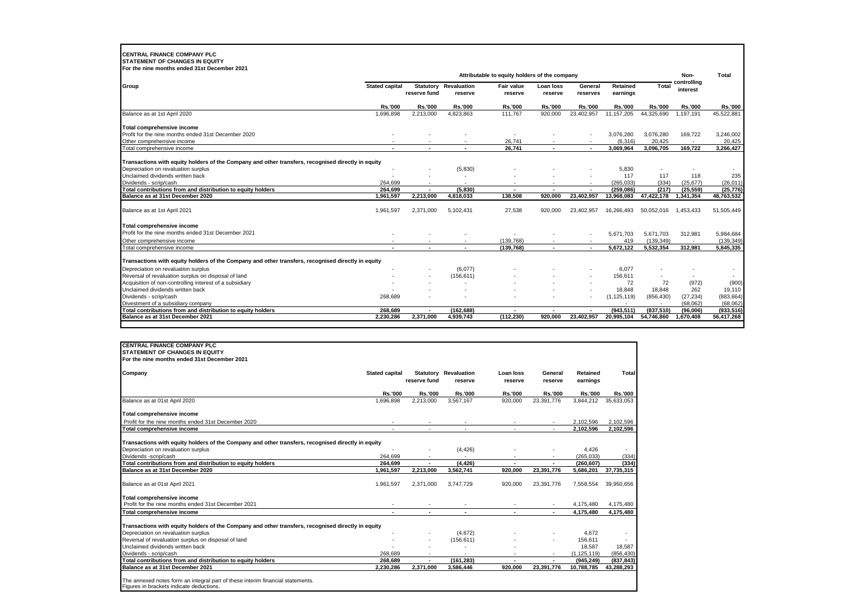# **CENTRAL FINANCE COMPANY PLC STATEMENT OF CHANGES IN EQUITY**

| For the nine months ended 31st December 2021                                                       |                       |                                  |                        |                                               |                      |                     |                      |                |                         |                |
|----------------------------------------------------------------------------------------------------|-----------------------|----------------------------------|------------------------|-----------------------------------------------|----------------------|---------------------|----------------------|----------------|-------------------------|----------------|
|                                                                                                    |                       |                                  |                        | Attributable to equity holders of the company |                      |                     |                      |                | Non-                    | Total          |
| Group                                                                                              | <b>Stated capital</b> | <b>Statutory</b><br>reserve fund | Revaluation<br>reserve | <b>Fair value</b><br>reserve                  | Loan loss<br>reserve | General<br>reserves | Retained<br>earnings | Total          | controlling<br>interest |                |
|                                                                                                    | <b>Rs.'000</b>        | <b>Rs.'000</b>                   | <b>Rs.'000</b>         | <b>Rs.'000</b>                                | <b>Rs.'000</b>       | <b>Rs.'000</b>      | <b>Rs.'000</b>       | <b>Rs.'000</b> | <b>Rs.'000</b>          | <b>Rs.'000</b> |
| Balance as at 1st April 2020                                                                       | 1,696,898             | 2,213,000                        | 4,823,863              | 111,767                                       | 920,000              | 23,402,957          | 11, 157, 205         | 44,325,690     | 1,197,191               | 45,522,881     |
| Total comprehensive income                                                                         |                       |                                  |                        |                                               |                      |                     |                      |                |                         |                |
| Profit for the nine months ended 31st December 2020                                                |                       |                                  |                        |                                               |                      |                     | 3,076,280            | 3,076,280      | 169,722                 | 3,246,002      |
| Other comprehensive income                                                                         |                       |                                  |                        | 26,741                                        |                      |                     | (6, 316)             | 20.425         |                         | 20,425         |
| Total comprehensive income                                                                         |                       |                                  |                        | 26,741                                        |                      | $\sim$              | 3,069,964            | 3,096,705      | 169,722                 | 3,266,427      |
| Transactions with equity holders of the Company and other transfers, recognised directly in equity |                       |                                  |                        |                                               |                      |                     |                      |                |                         |                |
| Depreciation on revaluation surplus                                                                |                       |                                  | (5,830)                |                                               |                      |                     | 5,830                |                |                         |                |
| Unclaimed dividends written back                                                                   |                       |                                  |                        |                                               |                      |                     | 117                  | 117            | 118                     | 235            |
| Dividends - scrip/cash                                                                             | 264.699               | $\sim$                           |                        | ۰                                             |                      |                     | (265.033)            | (334)          | (25.677)                | (26, 011)      |
| Total contributions from and distribution to equity holders                                        | 264.699               |                                  | (5, 830)               |                                               |                      |                     | (259.086)            | (217)          | (25, 559)               | (25, 776)      |
| Balance as at 31st December 2020                                                                   | 1,961,597             | 2,213,000                        | 4,818,033              | 138,508                                       | 920.000              | 23,402,957          | 13,968,083           | 47,422,178     | 341,354                 | 48,763,532     |
| Balance as at 1st April 2021                                                                       | 1,961,597             | 2,371,000                        | 5,102,431              | 27,538                                        | 920.000              | 23,402,957          | 16,266,493           | 50.052.016     | 1,453,433               | 51,505,449     |
| Total comprehensive income                                                                         |                       |                                  |                        |                                               |                      |                     |                      |                |                         |                |
| Profit for the nine months ended 31st December 2021                                                |                       |                                  |                        |                                               |                      | $\sim$              | 5.671.703            | 5.671.703      | 312,981                 | 5,984,684      |
| Other comprehensive income                                                                         |                       |                                  |                        | (139, 768)                                    |                      |                     | 419                  | (139, 349)     |                         | (139, 349)     |
| Total comprehensive income                                                                         |                       |                                  |                        | (139, 768)                                    |                      | $\sim$              | 5,672,122            | 5,532,354      | 312,981                 | 5,845,335      |
| Transactions with equity holders of the Company and other transfers, recognised directly in equity |                       |                                  |                        |                                               |                      |                     |                      |                |                         |                |
| Depreciation on revaluation surplus                                                                |                       |                                  | (6,077)                |                                               |                      |                     | 6,077                |                |                         |                |
| Reversal of revaluation surplus on disposal of land                                                |                       | ٠                                | (156, 611)             |                                               |                      | ٠                   | 156.611              | ٠              | ٠                       |                |
| Acquisition of non-controlling interest of a subsidiary                                            |                       |                                  |                        |                                               |                      | ٠                   | 72                   | 72             | (972)                   | (900)          |
| Unclaimed dividends written back                                                                   |                       |                                  |                        |                                               |                      | $\overline{a}$      | 18,848               | 18,848         | 262                     | 19,110         |
| Dividends - scrip/cash                                                                             | 268,689               |                                  |                        |                                               |                      | ٠                   | (1, 125, 119)        | (856, 430)     | (27, 234)               | (883, 664)     |
| Divestment of a subsidiary company                                                                 |                       |                                  |                        |                                               |                      |                     |                      |                | (68.062)                | (68.062)       |
| Total contributions from and distribution to equity holders                                        | 268.689               | $\overline{\phantom{a}}$         | (162.688)              | $\blacksquare$                                |                      | $\sim$              | (943.511)            | (837, 510)     | (96,006)                | (933, 516)     |
| Balance as at 31st December 2021                                                                   | 2.230.286             | 2.371.000                        | 4.939.743              | (112, 230)                                    | 920.000              | 23.402.957          | 20.995.104           | 54.746.860     | 1.670.408               | 56,417,268     |

| <b>CENTRAL FINANCE COMPANY PLC</b>                                                                 |                          |                |                                         |                      |                    |                      |                          |
|----------------------------------------------------------------------------------------------------|--------------------------|----------------|-----------------------------------------|----------------------|--------------------|----------------------|--------------------------|
| <b>STATEMENT OF CHANGES IN EQUITY</b>                                                              |                          |                |                                         |                      |                    |                      |                          |
| For the nine months ended 31st December 2021                                                       |                          |                |                                         |                      |                    |                      |                          |
| Company                                                                                            | <b>Stated capital</b>    | reserve fund   | <b>Statutory Revaluation</b><br>reserve | Loan loss<br>reserve | General<br>reserve | Retained<br>earnings | Total                    |
|                                                                                                    | <b>Rs.'000</b>           | <b>Rs.'000</b> | <b>Rs.'000</b>                          | <b>Rs.'000</b>       | <b>Rs.'000</b>     | <b>Rs.'000</b>       | <b>Rs.'000</b>           |
| Balance as at 01st April 2020                                                                      | 1.696.898                | 2.213.000      | 3.567.167                               | 920.000              | 23.391.776         | 3.844.212            | 35.633.053               |
| Total comprehensive income                                                                         |                          |                |                                         |                      |                    |                      |                          |
| Profit for the nine months ended 31st December 2020                                                |                          |                |                                         |                      |                    | 2.102.596            | 2.102.596                |
| Total comprehensive income                                                                         |                          |                |                                         |                      |                    | 2.102.596            | 2,102,596                |
| Transactions with equity holders of the Company and other transfers, recognised directly in equity |                          |                |                                         |                      |                    |                      |                          |
| Depreciation on revaluation surplus                                                                |                          |                | (4, 426)                                |                      |                    | 4,426                |                          |
| Dividends -scrip/cash                                                                              | 264.699                  |                |                                         |                      |                    | (265.033)            | (334)                    |
| Total contributions from and distribution to equity holders                                        | 264.699                  | ٠              | (4, 426)                                |                      |                    | (260.607)            | (334)                    |
| Balance as at 31st December 2020                                                                   | 1,961,597                | 2,213,000      | 3,562,741                               | 920.000              | 23,391,776         | 5,686,201            | 37,735,315               |
| Balance as at 01st April 2021                                                                      | 1,961,597                | 2,371,000      | 3.747.729                               | 920,000              | 23.391.776         | 7,558,554            | 39,950,656               |
| <b>Total comprehensive income</b>                                                                  |                          |                |                                         |                      |                    |                      |                          |
| Profit for the nine months ended 31st December 2021                                                |                          |                |                                         |                      |                    | 4,175,480            | 4,175,480                |
| <b>Total comprehensive income</b>                                                                  | $\overline{\phantom{a}}$ | $\sim$         | $\blacksquare$                          |                      | $\blacksquare$     | 4.175.480            | 4,175,480                |
| Transactions with equity holders of the Company and other transfers, recognised directly in equity |                          |                |                                         |                      |                    |                      |                          |
| Depreciation on revaluation surplus                                                                |                          |                | (4,672)                                 |                      |                    | 4,672                | $\overline{\phantom{a}}$ |
| Reversal of revaluation surplus on disposal of land                                                |                          |                | (156, 611)                              |                      |                    | 156,611              |                          |
| Unclaimed dividends written back                                                                   |                          |                |                                         |                      |                    | 18,587               | 18.587                   |
| Dividends - scrip/cash                                                                             | 268.689                  |                |                                         |                      |                    | (1, 125, 119)        | (856, 430)               |
| Total contributions from and distribution to equity holders                                        | 268,689                  | ٠              | (161, 283)                              |                      | $\blacksquare$     | (945, 249)           | (837, 843)               |
| Balance as at 31st December 2021                                                                   | 2.230.286                | 2,371,000      | 3,586,446                               | 920,000              | 23,391,776         | 10,788,785           | 43,288,293               |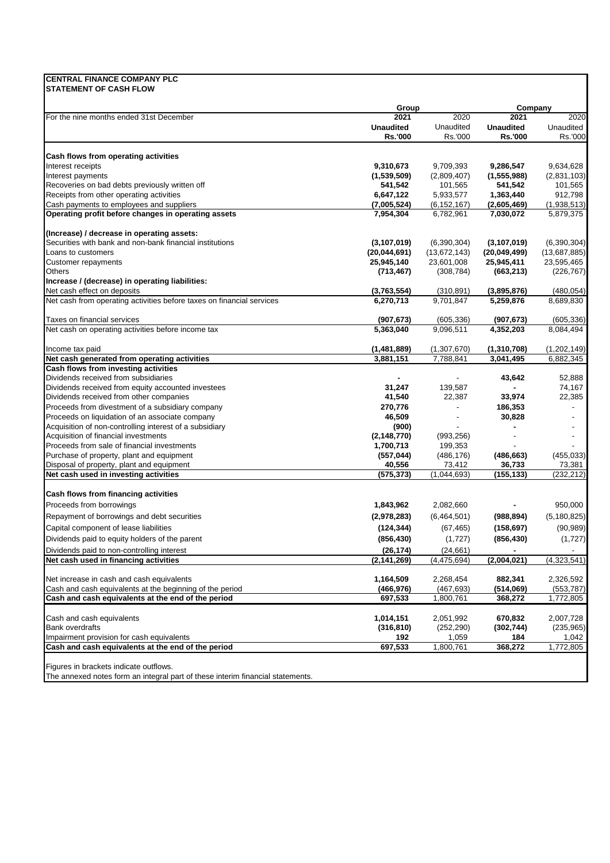# **CENTRAL FINANCE COMPANY PLC**

**STATEMENT OF CASH FLOW** 

| 2021<br><b>Unaudited</b> | 2020                                                                                                        | 2021                                                                                         | 2020                                                                                        |
|--------------------------|-------------------------------------------------------------------------------------------------------------|----------------------------------------------------------------------------------------------|---------------------------------------------------------------------------------------------|
|                          |                                                                                                             |                                                                                              |                                                                                             |
|                          | Unaudited                                                                                                   | <b>Unaudited</b>                                                                             | Unaudited                                                                                   |
| <b>Rs.'000</b>           | Rs.'000                                                                                                     | <b>Rs.'000</b>                                                                               | Rs.'000                                                                                     |
|                          |                                                                                                             |                                                                                              |                                                                                             |
| 9,310,673                | 9,709,393                                                                                                   | 9,286,547                                                                                    | 9,634,628                                                                                   |
| (1,539,509)              | (2,809,407)                                                                                                 | (1, 555, 988)                                                                                | (2,831,103)                                                                                 |
| 541,542                  | 101,565                                                                                                     | 541,542                                                                                      | 101,565                                                                                     |
| 6,647,122                | 5,933,577                                                                                                   | 1,363,440                                                                                    | 912,798                                                                                     |
| (7,005,524)              | (6, 152, 167)                                                                                               | (2,605,469)                                                                                  | (1,938,513)                                                                                 |
| 7,954,304                | 6,782,961                                                                                                   | 7,030,072                                                                                    | 5,879,375                                                                                   |
|                          |                                                                                                             |                                                                                              |                                                                                             |
| (3, 107, 019)            | (6,390,304)                                                                                                 | (3, 107, 019)                                                                                | (6,390,304)                                                                                 |
| (20,044,691)             | (13,672,143)                                                                                                | (20,049,499)                                                                                 | (13,687,885)                                                                                |
| 25,945,140               | 23,601,008                                                                                                  | 25,945,411                                                                                   | 23,595,465                                                                                  |
| (713, 467)               | (308, 784)                                                                                                  | (663, 213)                                                                                   | (226, 767)                                                                                  |
|                          |                                                                                                             |                                                                                              |                                                                                             |
| (3,763,554)              | (310, 891)                                                                                                  | (3,895,876)                                                                                  | (480, 054)                                                                                  |
| 6,270,713                | 9,701,847                                                                                                   | 5,259,876                                                                                    | 8,689,830                                                                                   |
| (907, 673)               | (605, 336)                                                                                                  | (907, 673)                                                                                   | (605, 336)                                                                                  |
| 5,363,040                | 9,096,511                                                                                                   | 4,352,203                                                                                    | 8,084,494                                                                                   |
| (1,481,889)              | (1,307,670)                                                                                                 | (1,310,708)                                                                                  | (1,202,149)                                                                                 |
| 3,881,151                | 7,788,841                                                                                                   | 3,041,495                                                                                    | 6,882,345                                                                                   |
|                          |                                                                                                             |                                                                                              |                                                                                             |
|                          |                                                                                                             | 43,642                                                                                       | 52,888                                                                                      |
| 31,247                   | 139,587                                                                                                     |                                                                                              | 74,167                                                                                      |
| 41,540                   | 22,387                                                                                                      | 33,974                                                                                       | 22,385                                                                                      |
| 270,776                  | $\overline{\phantom{a}}$                                                                                    | 186,353                                                                                      | $\blacksquare$                                                                              |
| 46,509                   |                                                                                                             | 30,828                                                                                       |                                                                                             |
| (900)                    |                                                                                                             |                                                                                              |                                                                                             |
| (2, 148, 770)            | (993, 256)                                                                                                  |                                                                                              |                                                                                             |
| 1,700,713                | 199,353                                                                                                     |                                                                                              |                                                                                             |
| (557, 044)               | (486, 176)                                                                                                  | (486, 663)                                                                                   | (455, 033)                                                                                  |
| 40,556                   | 73,412                                                                                                      | 36,733                                                                                       | 73,381                                                                                      |
|                          | (1,044,693)                                                                                                 |                                                                                              | (232, 212)                                                                                  |
|                          |                                                                                                             |                                                                                              |                                                                                             |
| 1,843,962                | 2,082,660                                                                                                   |                                                                                              | 950,000                                                                                     |
|                          |                                                                                                             |                                                                                              | (5, 180, 825)                                                                               |
|                          |                                                                                                             |                                                                                              | (90, 989)                                                                                   |
|                          |                                                                                                             |                                                                                              | (1,727)                                                                                     |
|                          |                                                                                                             |                                                                                              |                                                                                             |
|                          |                                                                                                             |                                                                                              |                                                                                             |
|                          |                                                                                                             |                                                                                              | (4,323,541)                                                                                 |
| 1,164,509                | 2,268,454                                                                                                   | 882,341                                                                                      | 2,326,592                                                                                   |
|                          |                                                                                                             |                                                                                              | (553, 787)                                                                                  |
|                          |                                                                                                             |                                                                                              | 1,772,805                                                                                   |
| 1,014,151                | 2,051,992                                                                                                   | 670,832                                                                                      | 2,007,728                                                                                   |
| (316, 810)               | (252, 290)                                                                                                  | (302, 744)                                                                                   | (235, 965)                                                                                  |
| 192                      | 1,059                                                                                                       | 184                                                                                          | 1,042                                                                                       |
| 697,533                  | 1,800,761                                                                                                   | 368,272                                                                                      | 1,772,805                                                                                   |
|                          | (575, 373)<br>(2,978,283)<br>(124, 344)<br>(856, 430)<br>(26, 174)<br>(2, 141, 269)<br>(466,976)<br>697,533 | (6,464,501)<br>(67, 465)<br>(1,727)<br>(24, 661)<br>(4, 475, 694)<br>(467, 693)<br>1,800,761 | (155, 133)<br>(988, 894)<br>(158, 697)<br>(856, 430)<br>(2,004,021)<br>(514,069)<br>368,272 |

The annexed notes form an integral part of these interim financial statements.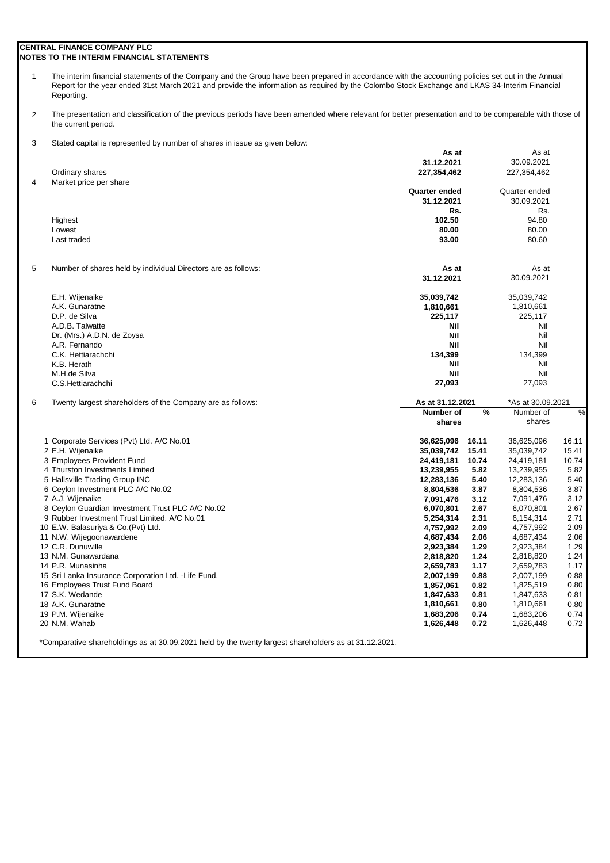## **CENTRAL FINANCE COMPANY PLC NOTES TO THE INTERIM FINANCIAL STATEMENTS**

1 The interim financial statements of the Company and the Group have been prepared in accordance with the accounting policies set out in the Annual Report for the year ended 31st March 2021 and provide the information as required by the Colombo Stock Exchange and LKAS 34-Interim Financial Reporting.

2 The presentation and classification of the previous periods have been amended where relevant for better presentation and to be comparable with those of the current period.

3 Stated capital is represented by number of shares in issue as given below:

|                |                                                               | As at            |               | As at             |       |
|----------------|---------------------------------------------------------------|------------------|---------------|-------------------|-------|
|                |                                                               | 31.12.2021       |               | 30.09.2021        |       |
|                | Ordinary shares                                               | 227,354,462      |               | 227,354,462       |       |
| $\overline{4}$ | Market price per share                                        |                  |               |                   |       |
|                |                                                               | Quarter ended    |               | Quarter ended     |       |
|                |                                                               | 31.12.2021       |               | 30.09.2021        |       |
|                |                                                               | Rs.              |               | Rs.               |       |
|                | Highest                                                       | 102.50           |               | 94.80             |       |
|                | Lowest                                                        | 80.00            |               | 80.00             |       |
|                | Last traded                                                   | 93.00            |               | 80.60             |       |
| 5              | Number of shares held by individual Directors are as follows: | As at            |               | As at             |       |
|                |                                                               | 31.12.2021       |               | 30.09.2021        |       |
|                | E.H. Wijenaike                                                | 35,039,742       |               | 35,039,742        |       |
|                | A.K. Gunaratne                                                | 1,810,661        |               | 1,810,661         |       |
|                | D.P. de Silva                                                 | 225,117          |               | 225,117           |       |
|                | A.D.B. Talwatte                                               | Nil              |               | Nil               |       |
|                | Dr. (Mrs.) A.D.N. de Zoysa                                    | <b>Nil</b>       |               | Nil               |       |
|                | A.R. Fernando                                                 | <b>Nil</b>       |               | Nil               |       |
|                | C.K. Hettiarachchi                                            | 134,399          |               | 134,399           |       |
|                | K.B. Herath                                                   | Nil              |               | Nil               |       |
|                | M.H.de Silva                                                  | <b>Nil</b>       |               | Nil               |       |
|                | C.S.Hettiarachchi                                             | 27,093           |               | 27,093            |       |
| 6              | Twenty largest shareholders of the Company are as follows:    | As at 31.12.2021 |               | *As at 30.09.2021 |       |
|                |                                                               |                  |               |                   |       |
|                |                                                               | Number of        | $\frac{9}{6}$ | Number of         | %     |
|                |                                                               | shares           |               | shares            |       |
|                | 1 Corporate Services (Pvt) Ltd. A/C No.01                     | 36,625,096       | 16.11         | 36,625,096        | 16.11 |
|                | 2 E.H. Wijenaike                                              | 35,039,742       | 15.41         | 35,039,742        | 15.41 |
|                | 3 Employees Provident Fund                                    | 24,419,181       | 10.74         | 24,419,181        | 10.74 |
|                | 4 Thurston Investments Limited                                | 13,239,955       | 5.82          | 13,239,955        | 5.82  |
|                | 5 Hallsville Trading Group INC                                | 12,283,136       | 5.40          | 12,283,136        | 5.40  |
|                | 6 Ceylon Investment PLC A/C No.02                             | 8,804,536        | 3.87          | 8,804,536         | 3.87  |
|                | 7 A.J. Wijenaike                                              | 7,091,476        | 3.12          | 7,091,476         | 3.12  |
|                | 8 Ceylon Guardian Investment Trust PLC A/C No.02              | 6,070,801        | 2.67          | 6,070,801         | 2.67  |
|                | 9 Rubber Investment Trust Limited. A/C No.01                  | 5,254,314        | 2.31          | 6,154,314         | 2.71  |
|                | 10 E.W. Balasuriya & Co. (Pvt) Ltd.                           | 4,757,992        | 2.09          | 4,757,992         | 2.09  |
|                | 11 N.W. Wijegoonawardene                                      | 4,687,434        | 2.06          | 4,687,434         | 2.06  |
|                | 12 C.R. Dunuwille                                             | 2,923,384        | 1.29          | 2,923,384         | 1.29  |
|                | 13 N.M. Gunawardana                                           | 2,818,820        | 1.24          | 2,818,820         | 1.24  |
|                | 14 P.R. Munasinha                                             | 2,659,783        | 1.17          | 2,659,783         | 1.17  |
|                | 15 Sri Lanka Insurance Corporation Ltd. - Life Fund.          | 2,007,199        | 0.88          | 2,007,199         | 0.88  |
|                | 16 Employees Trust Fund Board                                 | 1,857,061        | 0.82          | 1,825,519         | 0.80  |
|                | 17 S.K. Wedande                                               | 1,847,633        | 0.81          | 1,847,633         | 0.81  |
|                | 18 A.K. Gunaratne                                             | 1,810,661        | 0.80          | 1,810,661         | 0.80  |
|                | 19 P.M. Wijenaike                                             | 1,683,206        | 0.74          | 1,683,206         | 0.74  |
|                | 20 N.M. Wahab                                                 | 1,626,448        | 0.72          | 1,626,448         | 0.72  |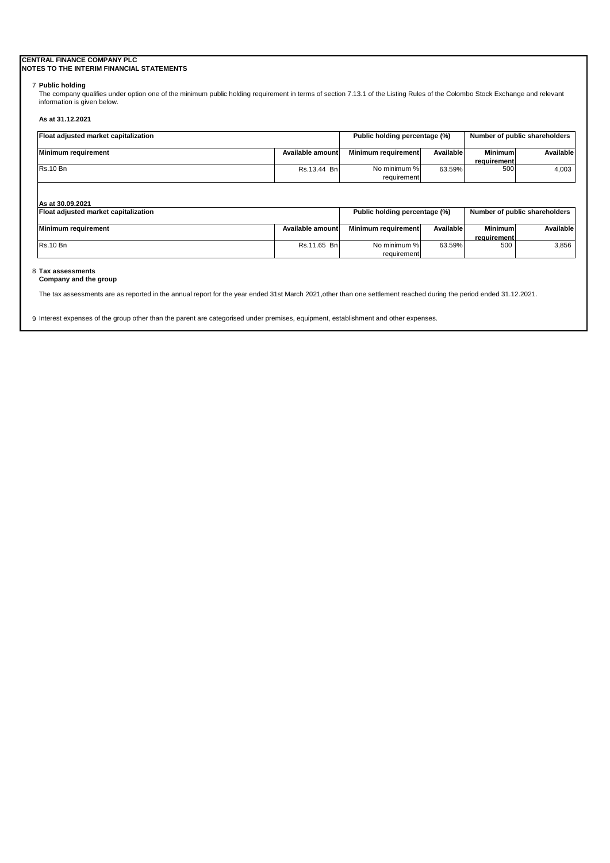# **CENTRAL FINANCE COMPANY PLC**

# **NOTES TO THE INTERIM FINANCIAL STATEMENTS**

## 7 **Public holding**

The company qualifies under option one of the minimum public holding requirement in terms of section 7.13.1 of the Listing Rules of the Colombo Stock Exchange and relevant information is given below.

## **As at 31.12.2021**

| Float adjusted market capitalization |                  | Public holding percentage (%) |           | Number of public shareholders        |                               |
|--------------------------------------|------------------|-------------------------------|-----------|--------------------------------------|-------------------------------|
| <b>Minimum requirement</b>           | Available amount | Minimum requirement           | Available | <b>Minimum</b><br><b>requirement</b> | Available                     |
| <b>Rs.10 Bn</b>                      | Rs.13.44 Bn      | No minimum %<br>requirement   | 63.59%    | 500                                  | 4,003                         |
| As at 30.09.2021                     |                  |                               |           |                                      |                               |
| Float adjusted market capitalization |                  | Public holding percentage (%) |           |                                      | Number of public shareholders |
| <b>Minimum requirement</b>           | Available amount | Minimum requirement           | Available | <b>Minimum</b><br>requirement        | Available                     |
| <b>Rs.10 Bn</b>                      | Rs.11.65 Bn      | No minimum %                  | 63.59%    | 500                                  | 3,856                         |

requirement

# Rs.10 Bn No minimum %

# 8 **Tax assessments**

**Company and the group**

The tax assessments are as reported in the annual report for the year ended 31st March 2021,other than one settlement reached during the period ended 31.12.2021.

9 Interest expenses of the group other than the parent are categorised under premises, equipment, establishment and other expenses.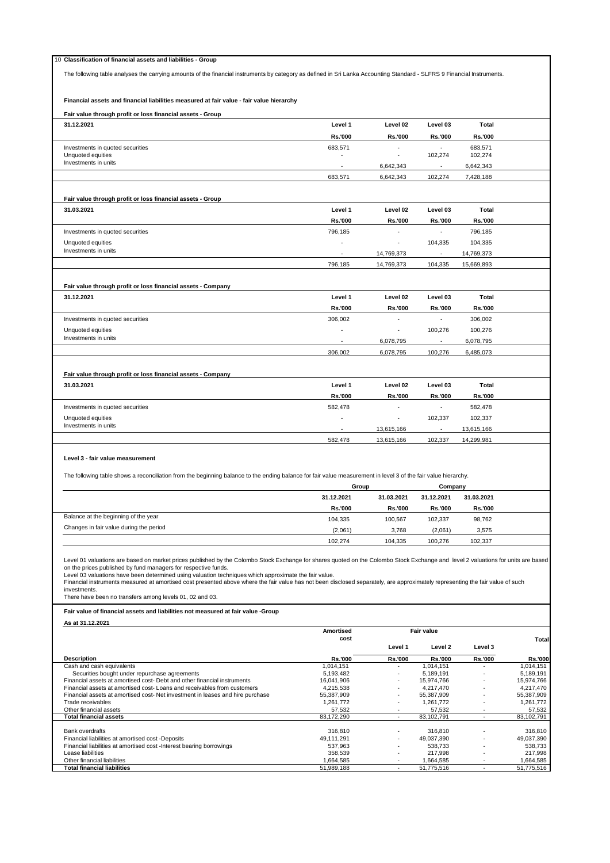| 10 Classification of financial assets and liabilities - Group                                                                                                                                                                                                                                                                                                                                                                                                                                                                                                                                                                                                                                                  |                         |                |                         |                      |                         |
|----------------------------------------------------------------------------------------------------------------------------------------------------------------------------------------------------------------------------------------------------------------------------------------------------------------------------------------------------------------------------------------------------------------------------------------------------------------------------------------------------------------------------------------------------------------------------------------------------------------------------------------------------------------------------------------------------------------|-------------------------|----------------|-------------------------|----------------------|-------------------------|
| The following table analyses the carrying amounts of the financial instruments by category as defined in Sri Lanka Accounting Standard - SLFRS 9 Financial Instruments.                                                                                                                                                                                                                                                                                                                                                                                                                                                                                                                                        |                         |                |                         |                      |                         |
|                                                                                                                                                                                                                                                                                                                                                                                                                                                                                                                                                                                                                                                                                                                |                         |                |                         |                      |                         |
|                                                                                                                                                                                                                                                                                                                                                                                                                                                                                                                                                                                                                                                                                                                |                         |                |                         |                      |                         |
| Financial assets and financial liabilities measured at fair value - fair value hierarchy                                                                                                                                                                                                                                                                                                                                                                                                                                                                                                                                                                                                                       |                         |                |                         |                      |                         |
| Fair value through profit or loss financial assets - Group                                                                                                                                                                                                                                                                                                                                                                                                                                                                                                                                                                                                                                                     |                         |                |                         |                      |                         |
| 31.12.2021                                                                                                                                                                                                                                                                                                                                                                                                                                                                                                                                                                                                                                                                                                     | Level 1                 | Level 02       | Level 03                | Total                |                         |
|                                                                                                                                                                                                                                                                                                                                                                                                                                                                                                                                                                                                                                                                                                                |                         |                |                         |                      |                         |
|                                                                                                                                                                                                                                                                                                                                                                                                                                                                                                                                                                                                                                                                                                                | Rs.'000                 | Rs.'000        | Rs.'000                 | Rs.'000              |                         |
| Investments in quoted securities<br>Unquoted equities                                                                                                                                                                                                                                                                                                                                                                                                                                                                                                                                                                                                                                                          | 683,571<br>$\sim$       | $\blacksquare$ | 102,274                 | 683,571<br>102,274   |                         |
| Investments in units                                                                                                                                                                                                                                                                                                                                                                                                                                                                                                                                                                                                                                                                                           |                         |                |                         |                      |                         |
|                                                                                                                                                                                                                                                                                                                                                                                                                                                                                                                                                                                                                                                                                                                |                         | 6,642,343      |                         | 6,642,343            |                         |
|                                                                                                                                                                                                                                                                                                                                                                                                                                                                                                                                                                                                                                                                                                                | 683,571                 | 6,642,343      | 102,274                 | 7,428,188            |                         |
|                                                                                                                                                                                                                                                                                                                                                                                                                                                                                                                                                                                                                                                                                                                |                         |                |                         |                      |                         |
| Fair value through profit or loss financial assets - Group                                                                                                                                                                                                                                                                                                                                                                                                                                                                                                                                                                                                                                                     |                         |                |                         |                      |                         |
| 31.03.2021                                                                                                                                                                                                                                                                                                                                                                                                                                                                                                                                                                                                                                                                                                     | Level 1                 | Level 02       | Level 03                | <b>Total</b>         |                         |
|                                                                                                                                                                                                                                                                                                                                                                                                                                                                                                                                                                                                                                                                                                                | <b>Rs.'000</b>          | <b>Rs.'000</b> | Rs.'000                 | Rs.'000              |                         |
| Investments in quoted securities                                                                                                                                                                                                                                                                                                                                                                                                                                                                                                                                                                                                                                                                               | 796,185                 |                | ÷,                      | 796,185              |                         |
| Unquoted equities                                                                                                                                                                                                                                                                                                                                                                                                                                                                                                                                                                                                                                                                                              |                         |                | 104,335                 | 104,335              |                         |
| Investments in units                                                                                                                                                                                                                                                                                                                                                                                                                                                                                                                                                                                                                                                                                           | $\blacksquare$          | 14,769,373     | $\blacksquare$          | 14,769,373           |                         |
|                                                                                                                                                                                                                                                                                                                                                                                                                                                                                                                                                                                                                                                                                                                | 796,185                 | 14,769,373     | 104,335                 | 15,669,893           |                         |
|                                                                                                                                                                                                                                                                                                                                                                                                                                                                                                                                                                                                                                                                                                                |                         |                |                         |                      |                         |
|                                                                                                                                                                                                                                                                                                                                                                                                                                                                                                                                                                                                                                                                                                                |                         |                |                         |                      |                         |
| Fair value through profit or loss financial assets - Company                                                                                                                                                                                                                                                                                                                                                                                                                                                                                                                                                                                                                                                   |                         |                |                         |                      |                         |
| 31.12.2021                                                                                                                                                                                                                                                                                                                                                                                                                                                                                                                                                                                                                                                                                                     | Level 1                 | Level 02       | Level 03                | <b>Total</b>         |                         |
|                                                                                                                                                                                                                                                                                                                                                                                                                                                                                                                                                                                                                                                                                                                | Rs.'000                 | Rs.'000        | <b>Rs.'000</b>          | Rs.'000              |                         |
| Investments in quoted securities                                                                                                                                                                                                                                                                                                                                                                                                                                                                                                                                                                                                                                                                               | 306.002                 |                |                         | 306,002              |                         |
| Unquoted equities                                                                                                                                                                                                                                                                                                                                                                                                                                                                                                                                                                                                                                                                                              |                         | ٠              | 100,276                 | 100,276              |                         |
| Investments in units                                                                                                                                                                                                                                                                                                                                                                                                                                                                                                                                                                                                                                                                                           |                         | 6,078,795      | $\blacksquare$          | 6,078,795            |                         |
|                                                                                                                                                                                                                                                                                                                                                                                                                                                                                                                                                                                                                                                                                                                | 306,002                 | 6,078,795      | 100,276                 | 6,485,073            |                         |
|                                                                                                                                                                                                                                                                                                                                                                                                                                                                                                                                                                                                                                                                                                                |                         |                |                         |                      |                         |
|                                                                                                                                                                                                                                                                                                                                                                                                                                                                                                                                                                                                                                                                                                                |                         |                |                         |                      |                         |
| Fair value through profit or loss financial assets - Company                                                                                                                                                                                                                                                                                                                                                                                                                                                                                                                                                                                                                                                   |                         |                |                         |                      |                         |
| 31.03.2021                                                                                                                                                                                                                                                                                                                                                                                                                                                                                                                                                                                                                                                                                                     | Level 1                 | Level 02       | Level 03                | Total                |                         |
|                                                                                                                                                                                                                                                                                                                                                                                                                                                                                                                                                                                                                                                                                                                | <b>Rs.'000</b>          | <b>Rs.'000</b> | <b>Rs.'000</b>          | Rs.'000              |                         |
| Investments in quoted securities                                                                                                                                                                                                                                                                                                                                                                                                                                                                                                                                                                                                                                                                               | 582,478                 | $\blacksquare$ |                         | 582,478              |                         |
| Unquoted equities                                                                                                                                                                                                                                                                                                                                                                                                                                                                                                                                                                                                                                                                                              |                         |                | 102,337                 | 102,337              |                         |
| Investments in units                                                                                                                                                                                                                                                                                                                                                                                                                                                                                                                                                                                                                                                                                           | $\sim$                  | 13,615,166     | $\mathbf{r}$            | 13,615,166           |                         |
|                                                                                                                                                                                                                                                                                                                                                                                                                                                                                                                                                                                                                                                                                                                | 582,478                 | 13,615,166     | 102,337                 | 14,299,981           |                         |
| The following table shows a reconciliation from the beginning balance to the ending balance for fair value measurement in level 3 of the fair value hierarchy.                                                                                                                                                                                                                                                                                                                                                                                                                                                                                                                                                 | Group                   |                | Company                 |                      |                         |
|                                                                                                                                                                                                                                                                                                                                                                                                                                                                                                                                                                                                                                                                                                                | 31.12.2021              | 31.03.2021     | 31.12.2021              | 31.03.2021           |                         |
| Balance at the beginning of the year                                                                                                                                                                                                                                                                                                                                                                                                                                                                                                                                                                                                                                                                           | Rs.'000                 | Rs.'000        | Rs.'000                 | Rs.'000              |                         |
|                                                                                                                                                                                                                                                                                                                                                                                                                                                                                                                                                                                                                                                                                                                | 104,335                 | 100,567        | 102,337                 | 98,762               |                         |
| Changes in fair value during the period                                                                                                                                                                                                                                                                                                                                                                                                                                                                                                                                                                                                                                                                        | (2,061)                 | 3,768          | (2,061)                 | 3,575                |                         |
|                                                                                                                                                                                                                                                                                                                                                                                                                                                                                                                                                                                                                                                                                                                | 102,274                 | 104,335        | 100,276                 | 102,337              |                         |
| Level 01 valuations are based on market prices published by the Colombo Stock Exchange for shares quoted on the Colombo Stock Exchange and level 2 valuations for units are based<br>on the prices published by fund managers for respective funds.<br>Level 03 valuations have been determined using valuation techniques which approximate the fair value.<br>Financial instruments measured at amortised cost presented above where the fair value has not been disclosed separately, are approximately representing the fair value of such<br>investments.<br>There have been no transfers among levels 01, 02 and 03.<br>Fair value of financial assets and liabilities not measured at fair value -Group |                         |                |                         |                      |                         |
| As at 31.12.2021                                                                                                                                                                                                                                                                                                                                                                                                                                                                                                                                                                                                                                                                                               |                         |                |                         |                      |                         |
|                                                                                                                                                                                                                                                                                                                                                                                                                                                                                                                                                                                                                                                                                                                | <b>Amortised</b>        |                | Fair value              |                      |                         |
|                                                                                                                                                                                                                                                                                                                                                                                                                                                                                                                                                                                                                                                                                                                | cost                    |                |                         |                      | <b>Total</b>            |
|                                                                                                                                                                                                                                                                                                                                                                                                                                                                                                                                                                                                                                                                                                                |                         | Level 1        | Level 2                 | Level 3              |                         |
| <b>Description</b>                                                                                                                                                                                                                                                                                                                                                                                                                                                                                                                                                                                                                                                                                             | <b>Rs.'000</b>          | Rs.'000        | Rs.'000                 | Rs.'000              | <b>Rs.'000</b>          |
| Cash and cash equivalents<br>Securities bought under repurchase agreements                                                                                                                                                                                                                                                                                                                                                                                                                                                                                                                                                                                                                                     | 1,014,151<br>5,193,482  |                | 1,014,151<br>5,189,191  |                      | 1,014,151<br>5,189,191  |
| Financial assets at amortised cost- Debt and other financial instruments                                                                                                                                                                                                                                                                                                                                                                                                                                                                                                                                                                                                                                       | 16,041,906              |                | 15,974,766              |                      | 15,974,766              |
| Financial assets at amortised cost-Loans and receivables from customers                                                                                                                                                                                                                                                                                                                                                                                                                                                                                                                                                                                                                                        | 4,215,538               |                | 4,217,470               |                      | 4,217,470               |
| Financial assets at amortised cost- Net investment in leases and hire purchase<br>Trade receivables                                                                                                                                                                                                                                                                                                                                                                                                                                                                                                                                                                                                            | 55,387,909<br>1,261,772 |                | 55,387,909<br>1,261,772 | $\ddot{\phantom{1}}$ | 55,387,909<br>1,261,772 |
| Other financial assets                                                                                                                                                                                                                                                                                                                                                                                                                                                                                                                                                                                                                                                                                         | 57,532                  |                | 57,532                  |                      | 57,532                  |
| <b>Total financial assets</b>                                                                                                                                                                                                                                                                                                                                                                                                                                                                                                                                                                                                                                                                                  | 83,172,290              | ÷.             | 83,102,791              | $\sim$               | 83,102,791              |
| Bank overdrafts                                                                                                                                                                                                                                                                                                                                                                                                                                                                                                                                                                                                                                                                                                | 316,810                 |                | 316,810                 |                      | 316,810                 |
| Financial liabilities at amortised cost -Deposits                                                                                                                                                                                                                                                                                                                                                                                                                                                                                                                                                                                                                                                              | 49,111,291              |                | 49,037,390              |                      | 49,037,390              |
| Financial liabilities at amortised cost -Interest bearing borrowings                                                                                                                                                                                                                                                                                                                                                                                                                                                                                                                                                                                                                                           | 537,963                 |                | 538,733                 |                      | 538,733                 |
| Lease liabilities                                                                                                                                                                                                                                                                                                                                                                                                                                                                                                                                                                                                                                                                                              | 358,539                 |                | 217,998                 |                      | 217,998                 |
|                                                                                                                                                                                                                                                                                                                                                                                                                                                                                                                                                                                                                                                                                                                |                         |                |                         |                      |                         |
| Other financial liabilities<br><b>Total financial liabilities</b>                                                                                                                                                                                                                                                                                                                                                                                                                                                                                                                                                                                                                                              | 1,664,585<br>51,989,188 | $\sim$         | 1,664,585<br>51,775,516 | $\sim$               | 1,664,585<br>51,775,516 |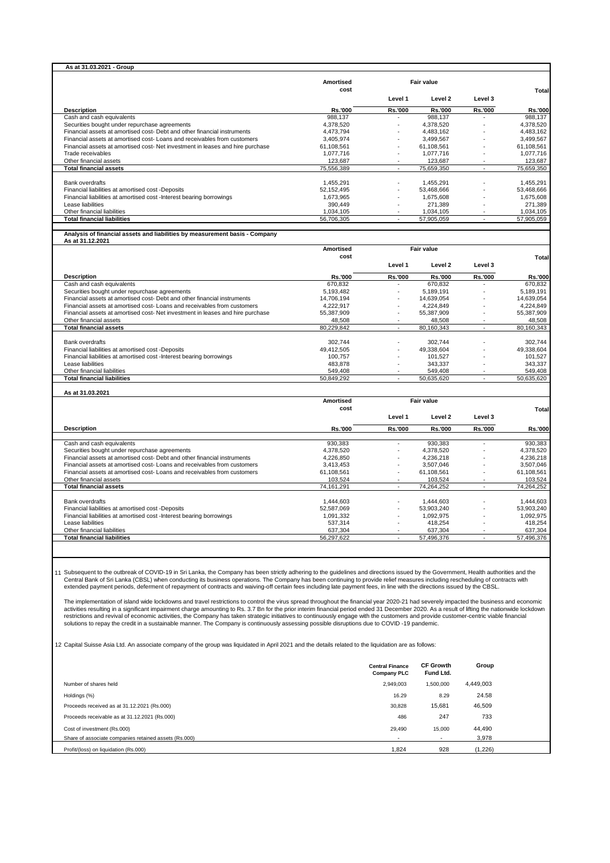|                                                                                                                                                                                                                                                                                                                                                                                                                                                                                                                                                                                                                                                                                                                                                                                                                                                                                                                                                                                                                                                                                                                                                                                                                                                                                                                                                                                                                                            | <b>Amortised</b>        |                                                           | Fair value                                 |                          |                                                |
|--------------------------------------------------------------------------------------------------------------------------------------------------------------------------------------------------------------------------------------------------------------------------------------------------------------------------------------------------------------------------------------------------------------------------------------------------------------------------------------------------------------------------------------------------------------------------------------------------------------------------------------------------------------------------------------------------------------------------------------------------------------------------------------------------------------------------------------------------------------------------------------------------------------------------------------------------------------------------------------------------------------------------------------------------------------------------------------------------------------------------------------------------------------------------------------------------------------------------------------------------------------------------------------------------------------------------------------------------------------------------------------------------------------------------------------------|-------------------------|-----------------------------------------------------------|--------------------------------------------|--------------------------|------------------------------------------------|
|                                                                                                                                                                                                                                                                                                                                                                                                                                                                                                                                                                                                                                                                                                                                                                                                                                                                                                                                                                                                                                                                                                                                                                                                                                                                                                                                                                                                                                            | cost                    | Level 1                                                   | Level 2                                    | Level 3                  | Total                                          |
| <b>Description</b>                                                                                                                                                                                                                                                                                                                                                                                                                                                                                                                                                                                                                                                                                                                                                                                                                                                                                                                                                                                                                                                                                                                                                                                                                                                                                                                                                                                                                         | Rs.'000                 | Rs.'000                                                   | Rs.'000                                    | Rs.'000                  | <b>Rs.'000</b>                                 |
| Cash and cash equivalents                                                                                                                                                                                                                                                                                                                                                                                                                                                                                                                                                                                                                                                                                                                                                                                                                                                                                                                                                                                                                                                                                                                                                                                                                                                                                                                                                                                                                  | 988,137                 |                                                           | 988,137                                    |                          | 988,137                                        |
| Securities bought under repurchase agreements                                                                                                                                                                                                                                                                                                                                                                                                                                                                                                                                                                                                                                                                                                                                                                                                                                                                                                                                                                                                                                                                                                                                                                                                                                                                                                                                                                                              | 4,378,520               |                                                           | 4,378,520                                  |                          | 4,378,520                                      |
| Financial assets at amortised cost- Debt and other financial instruments<br>Financial assets at amortised cost-Loans and receivables from customers                                                                                                                                                                                                                                                                                                                                                                                                                                                                                                                                                                                                                                                                                                                                                                                                                                                                                                                                                                                                                                                                                                                                                                                                                                                                                        | 4,473,794<br>3,405,974  |                                                           | 4,483,162<br>3,499,567                     |                          | 4,483,162<br>3.499.567                         |
| Financial assets at amortised cost-Net investment in leases and hire purchase                                                                                                                                                                                                                                                                                                                                                                                                                                                                                                                                                                                                                                                                                                                                                                                                                                                                                                                                                                                                                                                                                                                                                                                                                                                                                                                                                              | 61,108,561              |                                                           | 61,108,561                                 |                          | 61,108,561                                     |
| Trade receivables                                                                                                                                                                                                                                                                                                                                                                                                                                                                                                                                                                                                                                                                                                                                                                                                                                                                                                                                                                                                                                                                                                                                                                                                                                                                                                                                                                                                                          | 1,077,716               |                                                           | 1,077,716                                  |                          | 1,077,716                                      |
| Other financial assets                                                                                                                                                                                                                                                                                                                                                                                                                                                                                                                                                                                                                                                                                                                                                                                                                                                                                                                                                                                                                                                                                                                                                                                                                                                                                                                                                                                                                     | 123,687                 |                                                           | 123,687                                    |                          | 123,687                                        |
| <b>Total financial assets</b>                                                                                                                                                                                                                                                                                                                                                                                                                                                                                                                                                                                                                                                                                                                                                                                                                                                                                                                                                                                                                                                                                                                                                                                                                                                                                                                                                                                                              | 75,556,389              | ÷.                                                        | 75,659,350                                 | $\sim$                   | 75,659,350                                     |
| Bank overdrafts                                                                                                                                                                                                                                                                                                                                                                                                                                                                                                                                                                                                                                                                                                                                                                                                                                                                                                                                                                                                                                                                                                                                                                                                                                                                                                                                                                                                                            | 1,455,291               |                                                           | 1,455,291                                  |                          | 1,455,291                                      |
| Financial liabilities at amortised cost -Deposits                                                                                                                                                                                                                                                                                                                                                                                                                                                                                                                                                                                                                                                                                                                                                                                                                                                                                                                                                                                                                                                                                                                                                                                                                                                                                                                                                                                          | 52,152,495              |                                                           | 53,468,666                                 |                          | 53,468,666                                     |
| Financial liabilities at amortised cost -Interest bearing borrowings                                                                                                                                                                                                                                                                                                                                                                                                                                                                                                                                                                                                                                                                                                                                                                                                                                                                                                                                                                                                                                                                                                                                                                                                                                                                                                                                                                       | 1,673,965               |                                                           | 1,675,608                                  |                          | 1,675,608                                      |
| Lease liabilities                                                                                                                                                                                                                                                                                                                                                                                                                                                                                                                                                                                                                                                                                                                                                                                                                                                                                                                                                                                                                                                                                                                                                                                                                                                                                                                                                                                                                          | 390,449                 |                                                           | 271,389                                    |                          | 271,389                                        |
| Other financial liabilities                                                                                                                                                                                                                                                                                                                                                                                                                                                                                                                                                                                                                                                                                                                                                                                                                                                                                                                                                                                                                                                                                                                                                                                                                                                                                                                                                                                                                | 1,034,105               |                                                           | 1,034,105                                  |                          | 1,034,105                                      |
| <b>Total financial liabilities</b>                                                                                                                                                                                                                                                                                                                                                                                                                                                                                                                                                                                                                                                                                                                                                                                                                                                                                                                                                                                                                                                                                                                                                                                                                                                                                                                                                                                                         | 56,706,305              |                                                           | 57,905,059                                 |                          | 57,905,059                                     |
| Analysis of financial assets and liabilities by measurement basis - Company                                                                                                                                                                                                                                                                                                                                                                                                                                                                                                                                                                                                                                                                                                                                                                                                                                                                                                                                                                                                                                                                                                                                                                                                                                                                                                                                                                |                         |                                                           |                                            |                          |                                                |
| As at 31.12.2021                                                                                                                                                                                                                                                                                                                                                                                                                                                                                                                                                                                                                                                                                                                                                                                                                                                                                                                                                                                                                                                                                                                                                                                                                                                                                                                                                                                                                           |                         |                                                           |                                            |                          |                                                |
|                                                                                                                                                                                                                                                                                                                                                                                                                                                                                                                                                                                                                                                                                                                                                                                                                                                                                                                                                                                                                                                                                                                                                                                                                                                                                                                                                                                                                                            | Amortised               |                                                           | Fair value                                 |                          |                                                |
|                                                                                                                                                                                                                                                                                                                                                                                                                                                                                                                                                                                                                                                                                                                                                                                                                                                                                                                                                                                                                                                                                                                                                                                                                                                                                                                                                                                                                                            | cost                    |                                                           |                                            |                          | <b>Total</b>                                   |
|                                                                                                                                                                                                                                                                                                                                                                                                                                                                                                                                                                                                                                                                                                                                                                                                                                                                                                                                                                                                                                                                                                                                                                                                                                                                                                                                                                                                                                            |                         | Level 1                                                   | Level 2                                    | Level 3                  |                                                |
| <b>Description</b>                                                                                                                                                                                                                                                                                                                                                                                                                                                                                                                                                                                                                                                                                                                                                                                                                                                                                                                                                                                                                                                                                                                                                                                                                                                                                                                                                                                                                         | <b>Rs.'000</b>          | Rs.'000                                                   | Rs.'000                                    | Rs.'000                  | <b>Rs.'000</b>                                 |
| Cash and cash equivalents                                                                                                                                                                                                                                                                                                                                                                                                                                                                                                                                                                                                                                                                                                                                                                                                                                                                                                                                                                                                                                                                                                                                                                                                                                                                                                                                                                                                                  | 670,832                 |                                                           | 670,832                                    |                          | 670,832                                        |
| Securities bought under repurchase agreements                                                                                                                                                                                                                                                                                                                                                                                                                                                                                                                                                                                                                                                                                                                                                                                                                                                                                                                                                                                                                                                                                                                                                                                                                                                                                                                                                                                              | 5,193,482               |                                                           | 5,189,191                                  |                          | 5,189,191                                      |
| Financial assets at amortised cost- Debt and other financial instruments<br>Financial assets at amortised cost-Loans and receivables from customers                                                                                                                                                                                                                                                                                                                                                                                                                                                                                                                                                                                                                                                                                                                                                                                                                                                                                                                                                                                                                                                                                                                                                                                                                                                                                        | 14,706,194<br>4,222,917 |                                                           | 14,639,054<br>4,224,849                    |                          | 14,639,054<br>4,224,849                        |
| Financial assets at amortised cost- Net investment in leases and hire purchase                                                                                                                                                                                                                                                                                                                                                                                                                                                                                                                                                                                                                                                                                                                                                                                                                                                                                                                                                                                                                                                                                                                                                                                                                                                                                                                                                             | 55,387,909              |                                                           | 55,387,909                                 |                          | 55,387,909                                     |
| Other financial assets                                                                                                                                                                                                                                                                                                                                                                                                                                                                                                                                                                                                                                                                                                                                                                                                                                                                                                                                                                                                                                                                                                                                                                                                                                                                                                                                                                                                                     | 48,508                  |                                                           | 48,508                                     |                          | 48,508                                         |
| <b>Total financial assets</b>                                                                                                                                                                                                                                                                                                                                                                                                                                                                                                                                                                                                                                                                                                                                                                                                                                                                                                                                                                                                                                                                                                                                                                                                                                                                                                                                                                                                              | 80,229,842              | $\overline{\phantom{a}}$                                  | 80,160,343                                 | $\overline{\phantom{a}}$ | 80,160,343                                     |
|                                                                                                                                                                                                                                                                                                                                                                                                                                                                                                                                                                                                                                                                                                                                                                                                                                                                                                                                                                                                                                                                                                                                                                                                                                                                                                                                                                                                                                            |                         |                                                           |                                            |                          |                                                |
| <b>Bank overdrafts</b>                                                                                                                                                                                                                                                                                                                                                                                                                                                                                                                                                                                                                                                                                                                                                                                                                                                                                                                                                                                                                                                                                                                                                                                                                                                                                                                                                                                                                     | 302,744                 |                                                           | 302,744                                    |                          | 302,744                                        |
| Financial liabilities at amortised cost -Deposits<br>Financial liabilities at amortised cost -Interest bearing borrowings                                                                                                                                                                                                                                                                                                                                                                                                                                                                                                                                                                                                                                                                                                                                                                                                                                                                                                                                                                                                                                                                                                                                                                                                                                                                                                                  | 49.412.505<br>100,757   |                                                           | 49,338,604<br>101,527                      |                          | 49,338,604<br>101,527                          |
| Lease liabilities                                                                                                                                                                                                                                                                                                                                                                                                                                                                                                                                                                                                                                                                                                                                                                                                                                                                                                                                                                                                                                                                                                                                                                                                                                                                                                                                                                                                                          | 483,878                 |                                                           | 343,337                                    |                          | 343,337                                        |
| Other financial liabilities                                                                                                                                                                                                                                                                                                                                                                                                                                                                                                                                                                                                                                                                                                                                                                                                                                                                                                                                                                                                                                                                                                                                                                                                                                                                                                                                                                                                                | 549,408                 |                                                           | 549,408                                    |                          | 549,408                                        |
| <b>Total financial liabilities</b>                                                                                                                                                                                                                                                                                                                                                                                                                                                                                                                                                                                                                                                                                                                                                                                                                                                                                                                                                                                                                                                                                                                                                                                                                                                                                                                                                                                                         | 50,849,292              | ÷.                                                        | 50,635,620                                 |                          | 50,635,620                                     |
|                                                                                                                                                                                                                                                                                                                                                                                                                                                                                                                                                                                                                                                                                                                                                                                                                                                                                                                                                                                                                                                                                                                                                                                                                                                                                                                                                                                                                                            |                         |                                                           |                                            |                          |                                                |
|                                                                                                                                                                                                                                                                                                                                                                                                                                                                                                                                                                                                                                                                                                                                                                                                                                                                                                                                                                                                                                                                                                                                                                                                                                                                                                                                                                                                                                            |                         |                                                           |                                            |                          |                                                |
| As at 31.03.2021                                                                                                                                                                                                                                                                                                                                                                                                                                                                                                                                                                                                                                                                                                                                                                                                                                                                                                                                                                                                                                                                                                                                                                                                                                                                                                                                                                                                                           | <b>Amortised</b>        |                                                           | Fair value                                 |                          |                                                |
|                                                                                                                                                                                                                                                                                                                                                                                                                                                                                                                                                                                                                                                                                                                                                                                                                                                                                                                                                                                                                                                                                                                                                                                                                                                                                                                                                                                                                                            | cost                    |                                                           |                                            |                          | <b>Total</b>                                   |
|                                                                                                                                                                                                                                                                                                                                                                                                                                                                                                                                                                                                                                                                                                                                                                                                                                                                                                                                                                                                                                                                                                                                                                                                                                                                                                                                                                                                                                            |                         | Level 1                                                   | Level 2                                    | Level 3                  |                                                |
| <b>Description</b>                                                                                                                                                                                                                                                                                                                                                                                                                                                                                                                                                                                                                                                                                                                                                                                                                                                                                                                                                                                                                                                                                                                                                                                                                                                                                                                                                                                                                         | <b>Rs.'000</b>          | Rs.'000                                                   | Rs.'000                                    | Rs.'000                  | <b>Rs.'000</b>                                 |
|                                                                                                                                                                                                                                                                                                                                                                                                                                                                                                                                                                                                                                                                                                                                                                                                                                                                                                                                                                                                                                                                                                                                                                                                                                                                                                                                                                                                                                            |                         |                                                           |                                            |                          |                                                |
| Cash and cash equivalents                                                                                                                                                                                                                                                                                                                                                                                                                                                                                                                                                                                                                                                                                                                                                                                                                                                                                                                                                                                                                                                                                                                                                                                                                                                                                                                                                                                                                  | 930,383                 |                                                           | 930,383                                    |                          |                                                |
| Securities bought under repurchase agreements<br>Financial assets at amortised cost- Debt and other financial instruments                                                                                                                                                                                                                                                                                                                                                                                                                                                                                                                                                                                                                                                                                                                                                                                                                                                                                                                                                                                                                                                                                                                                                                                                                                                                                                                  | 4,378,520<br>4,226,850  |                                                           | 4,378,520<br>4,236,218                     |                          |                                                |
| Financial assets at amortised cost-Loans and receivables from customers                                                                                                                                                                                                                                                                                                                                                                                                                                                                                                                                                                                                                                                                                                                                                                                                                                                                                                                                                                                                                                                                                                                                                                                                                                                                                                                                                                    | 3,413,453               |                                                           | 3,507,046                                  |                          | 930,383<br>4,378,520<br>4,236,218<br>3,507,046 |
| Financial assets at amortised cost-Loans and receivables from customers                                                                                                                                                                                                                                                                                                                                                                                                                                                                                                                                                                                                                                                                                                                                                                                                                                                                                                                                                                                                                                                                                                                                                                                                                                                                                                                                                                    | 61,108,561              |                                                           | 61,108,561                                 |                          | 61,108,561                                     |
| Other financial assets                                                                                                                                                                                                                                                                                                                                                                                                                                                                                                                                                                                                                                                                                                                                                                                                                                                                                                                                                                                                                                                                                                                                                                                                                                                                                                                                                                                                                     | 103,524                 |                                                           | 103,524                                    |                          | 103,524                                        |
| <b>Total financial assets</b>                                                                                                                                                                                                                                                                                                                                                                                                                                                                                                                                                                                                                                                                                                                                                                                                                                                                                                                                                                                                                                                                                                                                                                                                                                                                                                                                                                                                              | 74,161,291              | $\sim$                                                    | 74,264,252                                 | $\sim$                   | 74,264,252                                     |
| Bank overdrafts                                                                                                                                                                                                                                                                                                                                                                                                                                                                                                                                                                                                                                                                                                                                                                                                                                                                                                                                                                                                                                                                                                                                                                                                                                                                                                                                                                                                                            | 1.444.603               |                                                           | 1,444,603                                  |                          | 1.444.603                                      |
| Financial liabilities at amortised cost -Deposits                                                                                                                                                                                                                                                                                                                                                                                                                                                                                                                                                                                                                                                                                                                                                                                                                                                                                                                                                                                                                                                                                                                                                                                                                                                                                                                                                                                          | 52,587,069              |                                                           | 53,903,240                                 |                          | 53,903,240                                     |
| Financial liabilities at amortised cost -Interest bearing borrowings                                                                                                                                                                                                                                                                                                                                                                                                                                                                                                                                                                                                                                                                                                                                                                                                                                                                                                                                                                                                                                                                                                                                                                                                                                                                                                                                                                       | 1,091,332               |                                                           | 1,092,975                                  |                          | 1,092,975                                      |
| Lease liabilities                                                                                                                                                                                                                                                                                                                                                                                                                                                                                                                                                                                                                                                                                                                                                                                                                                                                                                                                                                                                                                                                                                                                                                                                                                                                                                                                                                                                                          | 537,314                 |                                                           | 418.254                                    |                          | 418,254                                        |
| Other financial liabilities                                                                                                                                                                                                                                                                                                                                                                                                                                                                                                                                                                                                                                                                                                                                                                                                                                                                                                                                                                                                                                                                                                                                                                                                                                                                                                                                                                                                                | 637,304                 |                                                           | 637,304                                    |                          | 637,304                                        |
| <b>Total financial liabilities</b>                                                                                                                                                                                                                                                                                                                                                                                                                                                                                                                                                                                                                                                                                                                                                                                                                                                                                                                                                                                                                                                                                                                                                                                                                                                                                                                                                                                                         | 56,297,622              |                                                           | 57,496,376                                 |                          |                                                |
| 11 Subsequent to the outbreak of COVID-19 in Sri Lanka, the Company has been strictly adhering to the guidelines and directions issued by the Government, Health authorities and the<br>Central Bank of Sri Lanka (CBSL) when conducting its business operations. The Company has been continuing to provide relief measures including rescheduling of contracts with<br>extended payment periods, deferment of repayment of contracts and waiving-off certain fees including late payment fees, in line with the directions issued by the CBSL.<br>The implementation of island wide lockdowns and travel restrictions to control the virus spread throughout the financial year 2020-21 had severely impacted the business and economic<br>activities resulting in a significant impairment charge amounting to Rs. 3.7 Bn for the prior interim financial period ended 31 December 2020. As a result of lifting the nationwide lockdown<br>restrictions and revival of economic activities, the Company has taken strategic initiatives to continuously engage with the customers and provide customer-centric viable financial<br>solutions to repay the credit in a sustainable manner. The Company is continuously assessing possible disruptions due to COVID-19 pandemic.<br>12 Capital Suisse Asia Ltd. An associate company of the group was liquidated in April 2021 and the details related to the liquidation are as follows: |                         |                                                           |                                            |                          |                                                |
| Number of shares held                                                                                                                                                                                                                                                                                                                                                                                                                                                                                                                                                                                                                                                                                                                                                                                                                                                                                                                                                                                                                                                                                                                                                                                                                                                                                                                                                                                                                      |                         | <b>Central Finance</b><br><b>Company PLC</b><br>2,949,003 | <b>CF Growth</b><br>Fund Ltd.<br>1,500,000 | Group<br>4,449,003       |                                                |
|                                                                                                                                                                                                                                                                                                                                                                                                                                                                                                                                                                                                                                                                                                                                                                                                                                                                                                                                                                                                                                                                                                                                                                                                                                                                                                                                                                                                                                            |                         |                                                           |                                            |                          |                                                |
| Holdings (%)                                                                                                                                                                                                                                                                                                                                                                                                                                                                                                                                                                                                                                                                                                                                                                                                                                                                                                                                                                                                                                                                                                                                                                                                                                                                                                                                                                                                                               |                         | 16.29                                                     | 8.29                                       | 24.58                    |                                                |
| Proceeds received as at 31.12.2021 (Rs.000)                                                                                                                                                                                                                                                                                                                                                                                                                                                                                                                                                                                                                                                                                                                                                                                                                                                                                                                                                                                                                                                                                                                                                                                                                                                                                                                                                                                                |                         | 30,828                                                    | 15,681                                     | 46,509                   | 57,496,376                                     |

Cost of investment (Rs.000) 29,490 15,000 44,490<br>
Share of associate companies retained assets (Rs.000) 29,490 15,000 15,000 44,490

Profit/(loss) on liquidation (Rs.000) **1,824** 928 (1,226)

Share of associate companies retained assets (Rs.000) - - 3,978 and 3,978 and 3,978 and 3,978 and 3,978 and 3,978 and 3,978 and 3,978 and 3,978 and 3,978 and 3,978 and 3,978 and 3,978 and 3,978 and 3,978 and 3,978 and 3,97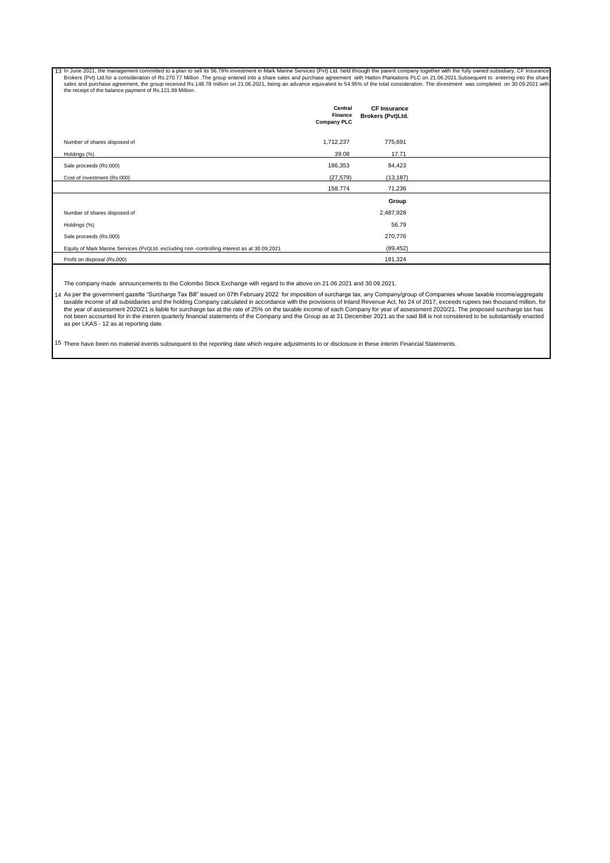13 In June 2021, the management committed to a plan to sell its 56.79% investment in Mark Marine Services (Pvt) Ltd. held through the parent company together with the fully owned subsidiary, CF Insurance<br>Brokers (Pvt) Ltd.

|                                                                                               | Central<br>Finance<br><b>Company PLC</b> | <b>CF Insurance</b><br>Brokers (Pvt)Ltd. |  |
|-----------------------------------------------------------------------------------------------|------------------------------------------|------------------------------------------|--|
| Number of shares disposed of                                                                  | 1,712,237                                | 775,691                                  |  |
| Holdings (%)                                                                                  | 39.08                                    | 17.71                                    |  |
| Sale proceeds (Rs.000)                                                                        | 186,353                                  | 84,423                                   |  |
| Cost of investment (Rs.000)                                                                   | (27, 579)                                | (13, 187)                                |  |
|                                                                                               | 158,774                                  | 71,236                                   |  |
|                                                                                               |                                          | Group                                    |  |
| Number of shares disposed of                                                                  |                                          | 2,487,928                                |  |
| Holdings (%)                                                                                  |                                          | 56.79                                    |  |
| Sale proceeds (Rs.000)                                                                        |                                          | 270,776                                  |  |
| Equity of Mark Marine Services (Pvt)Ltd. excluding non -controlling interest as at 30.09.2021 |                                          | (89, 452)                                |  |
| Profit on disposal (Rs.000)                                                                   |                                          | 181,324                                  |  |

The company made announcements to the Colombo Stock Exchange with regard to the above on 21.06.2021 and 30.09.2021.

14 As per the government gazette "Surcharge Tax Bill" issued on 07th February 2022 for imposition of surcharge tax, any Company/group of Companies whose taxable income/aggregate taxable income of all subsidiaries and the holding Company calculated in accordance with the provisions of Inland Revenue Act, No 24 of 2017, exceeds rupees two thousand million, for<br>the year of assessment 2020/21 is liabl as per LKAS - 12 as at reporting date.

15 There have been no material events subsequent to the reporting date which require adjustments to or disclosure in these interim Financial Statements.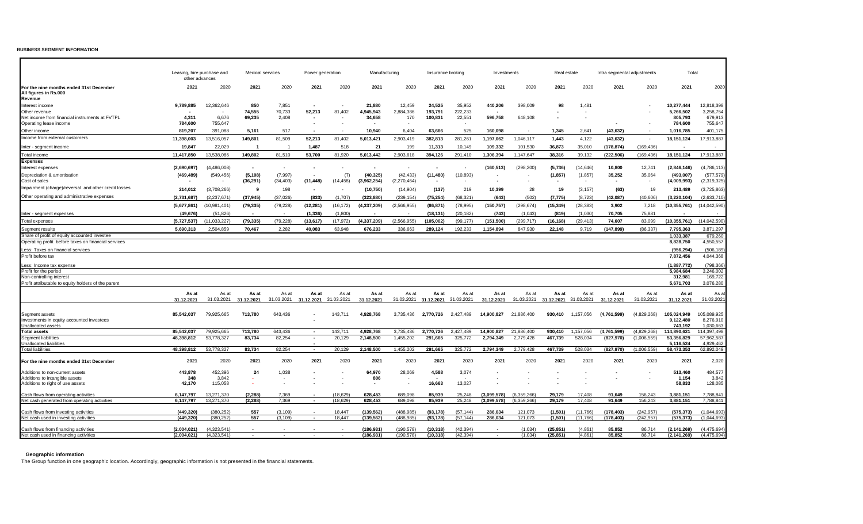### **BUSINESS SEGMENT INFORMATION**

|                                                                                      | Leasing, hire purchase and<br>other advances |                            |                         | Medical services  | Power generation         |                      | Manufacturing           |                        | Insurance broking     |                      | Investments                |                            | Real estate            |                      | Intra segmental adjustments |                            | Total                          |                            |
|--------------------------------------------------------------------------------------|----------------------------------------------|----------------------------|-------------------------|-------------------|--------------------------|----------------------|-------------------------|------------------------|-----------------------|----------------------|----------------------------|----------------------------|------------------------|----------------------|-----------------------------|----------------------------|--------------------------------|----------------------------|
| For the nine months ended 31st December<br>All figures in Rs.000<br>Revenue          | 2021                                         | 2020                       | 2021                    | 2020              | 2021                     | 2020                 | 2021                    | 2020                   | 2021                  | 2020                 | 2021                       | 2020                       | 2021                   | 2020                 | 2021                        | 2020                       | 2021                           | 2020                       |
| Interest income                                                                      | 9,789,885                                    | 12,362,646                 | 850                     | 7,851             |                          |                      | 21,880                  | 12,459                 | 24,525                | 35,952               | 440,206                    | 398,009                    | 98                     | 1,481                |                             |                            | 10,277,444                     | 12,818,398                 |
| Other revenue                                                                        |                                              |                            | 74,555                  | 70,733            | 52,213                   | 81,402               | 4.945.943               | 2,884,386              | 193,791               | 222,233              |                            |                            |                        |                      |                             |                            | 5.266.502                      | 3,258,754                  |
| Net income from financial instruments at FVTPL                                       | 4,311                                        | 6,676                      | 69,235                  | 2,408             |                          |                      | 34,658                  | 170                    | 100,831               | 22,551               | 596,758                    | 648,108                    |                        |                      |                             |                            | 805,793                        | 679,913                    |
| Operating lease income                                                               | 784,600                                      | 755,647                    |                         |                   |                          |                      |                         |                        |                       |                      |                            |                            |                        |                      |                             |                            | 784,600                        | 755,647                    |
| Other income                                                                         | 819,207                                      | 391,088                    | 5,161                   | 517               |                          |                      | 10,940                  | 6,404                  | 63,666                | 525                  | 160,098                    |                            | 1,345                  | 2,641                | (43, 632)                   |                            | 1,016,785                      | 401,175                    |
| Income from external customers                                                       | 11,398,003                                   | 13,516,057                 | 149,801                 | 81,509            | 52,213                   | 81,402               | 5,013,421               | 2,903,419              | 382,813               | 281,261              | 1,197,062                  | 1,046,117                  | 1,443                  | 4,122                | (43, 632)                   |                            | 18,151,124                     | 17,913,887                 |
| Inter - segment income                                                               | 19,847                                       | 22,029                     | $\overline{\mathbf{1}}$ |                   | 1.487                    | 518                  | 21                      | 199                    | 11,313                | 10.149               | 109,332                    | 101,530                    | 36,873                 | 35,010               | (178, 874)                  | (169, 436)                 |                                |                            |
| <b>Total income</b>                                                                  | 11,417,850                                   | 13,538,086                 | 149,802                 | 81,510            | 53,700                   | 81,920               | 5,013,442               | 2,903,618              | 394,126               | 291,410              | 1,306,394                  | 1,147,647                  | 38,316                 | 39,132               | (222, 506)                  | (169, 436)                 | 18, 151, 124                   | 17,913,887                 |
| Expenses                                                                             |                                              |                            |                         |                   |                          |                      |                         |                        |                       |                      |                            |                            |                        |                      |                             |                            |                                |                            |
| Interest expenses                                                                    | (2,690,697)                                  | (4,486,008)                | $\sim$                  | $\sim$            |                          | $\sim$               |                         |                        |                       |                      | (160, 513)                 | (298, 200)                 | (5,736)                | (14, 646)            | 10,800                      | 12,741                     | (2,846,146)                    | (4,786,113)                |
| Depreciation & amortisation                                                          | (469, 489)                                   | (549, 456)                 | (5, 108)                | (7, 997)          | $\sim$                   | (7)                  | (40, 325)               | (42, 433)              | (11, 480)             | (10, 893)            | $\blacksquare$             |                            | (1, 857)               | (1, 857)             | 35,252                      | 35,064                     | (493,007)                      | (577, 579)                 |
| Cost of sales                                                                        |                                              |                            | (36, 291)               | (34, 403)         | (11, 448)                | (14, 458)            | (3,962,254)             | (2,270,464)            |                       |                      | $\overline{\phantom{a}}$   |                            |                        |                      | $\sim$                      |                            | (4,009,993)                    | (2,319,325)                |
| Impairment (charge)/reversal and other credit losses                                 | 214,012                                      | (3,708,266)                | 9                       | 198               | $\overline{\phantom{a}}$ | ۰.                   | (10, 750)               | (14, 904)              | (137)                 | 219                  | 10,399                     | 28                         | 19                     | (3, 157)             | (63)                        | 19                         | 213,489                        | (3,725,863)                |
| Other operating and administrative expenses                                          | (2,731,687)                                  | (2, 237, 671)              | (37, 945)               | (37, 026)         | (833)                    | (1,707)              | (323, 880)              | (239, 154)             | (75, 254)             | (68, 321)            | (643)                      | (502)                      | (7, 775)               | (8, 723)             | (42,087)                    | (40, 606)                  | (3, 220, 104)                  | (2,633,710)                |
|                                                                                      |                                              |                            |                         |                   |                          |                      |                         |                        |                       |                      |                            |                            |                        |                      |                             |                            |                                |                            |
|                                                                                      | (5,677,861)                                  | (10,981,401)               | (79, 335)               | (79, 228)         | (12, 281)                | (16, 172)            | (4, 337, 209)           | (2, 566, 955)          | (86, 871)             | (78, 995)            | (150, 757)                 | (298, 674)                 | (15, 349)              | (28, 383)            | 3,902                       | 7,218                      | (10, 355, 761)                 | (14,042,590)               |
| Inter - segment expenses                                                             | (49, 676)                                    | (51, 826)                  | $\sim$                  |                   | (1, 336)                 | (1,800)              |                         |                        | (18, 131)             | (20, 182)            | (743)                      | (1,043)                    | (819)                  | (1,030)              | 70,705                      | 75,881                     |                                |                            |
| <b>Total expenses</b>                                                                | (5,727,537)                                  | (11, 033, 227)             | (79, 335)               | (79, 228)         | (13, 617)                | (17, 972)            | (4, 337, 209)           | (2,566,955)            | (105, 002)            | (99, 177)            | (151,500)                  | (299, 717)                 | (16, 168)              | (29, 413)            | 74,607                      | 83.099                     | (10, 355, 761)                 | (14,042,590)               |
| Segment results                                                                      | 5,690,313                                    | 2,504,859                  | 70,467                  | 2,282             | 40,083                   | 63,948               | 676,233                 | 336,663                | 289,124               | 192,233              | 1,154,894                  | 847,930                    | 22,148                 | 9,719                | (147, 899)                  | (86, 337)                  | 7,795,363                      | 3,871,297                  |
| Share of profit of equity accounted investee                                         |                                              |                            |                         |                   |                          |                      |                         |                        |                       |                      |                            |                            |                        |                      |                             |                            | 1,033,387                      | 679,260                    |
| Operating profit before taxes on financial services                                  |                                              |                            |                         |                   |                          |                      |                         |                        |                       |                      |                            |                            |                        |                      |                             |                            | 8,828,750                      | 4,550,557                  |
| Less: Taxes on financial services                                                    |                                              |                            |                         |                   |                          |                      |                         |                        |                       |                      |                            |                            |                        |                      |                             |                            | (956.294)                      | (506.189)                  |
| Profit before tax                                                                    |                                              |                            |                         |                   |                          |                      |                         |                        |                       |                      |                            |                            |                        |                      |                             |                            | 7,872,456                      | 4,044,368                  |
| ess: Income tax expense.                                                             |                                              |                            |                         |                   |                          |                      |                         |                        |                       |                      |                            |                            |                        |                      |                             |                            | (1,887,772)                    | (798,366)                  |
| Profit for the period                                                                |                                              |                            |                         |                   |                          |                      |                         |                        |                       |                      |                            |                            |                        |                      |                             |                            | 5.984.684                      | 3.246.002                  |
| Non-controlling interest                                                             |                                              |                            |                         |                   |                          |                      |                         |                        |                       |                      |                            |                            |                        |                      |                             |                            | 312,981                        | 169,722                    |
| Profit attributable to equity holders of the parent                                  |                                              |                            |                         |                   |                          |                      |                         |                        |                       |                      |                            |                            |                        |                      |                             |                            | 5,671,703                      | 3,076,280                  |
|                                                                                      | As at                                        | As at                      | As at                   | As at             | As at                    | As at                | As at                   | As at                  | As at                 | As at                | As at                      | As at                      | As at                  | As at                | As at                       | As at                      | As at                          | As at                      |
|                                                                                      | 31.12.2021                                   | 31.03.2021                 | 31.12.2021              | 31.03.2021        | 31.12.2021               | 31.03.2021           | 31.12.2021              | 31.03.2021             | 31.12.2021            | 31.03.2021           | 31.12.2021                 | 31.03.2021                 | 31.12.2021             | 31.03.2021           | 31.12.2021                  | 31.03.2021                 | 31.12.2021                     | 31.03.2021                 |
|                                                                                      |                                              |                            |                         |                   |                          |                      |                         |                        |                       |                      |                            |                            |                        |                      |                             |                            |                                |                            |
| Segment assets                                                                       | 85.542.037                                   | 79,925,665                 | 713,780                 | 643,436           |                          | 143.711              | 4.928.768               | 3,735,436              | 2.770.726             | 2,427,489            | 14.900.827                 | 21.886.400                 | 930.410                | 1.157.056            | (4.761.599)                 | (4,829,268)                | 105.024.949                    | 105,089,925                |
| Investments in equity accounted investees                                            |                                              |                            |                         |                   |                          |                      |                         |                        |                       |                      |                            |                            |                        |                      |                             |                            | 9,122,480                      | 8,276,910                  |
| Unallocated assets                                                                   |                                              |                            |                         |                   |                          |                      |                         |                        |                       |                      |                            |                            |                        |                      |                             |                            | 743,192                        | 1,030,663                  |
| <b>Total assets</b>                                                                  | 85,542,037<br>48.398.812                     | 79,925,665<br>53.778.327   | 713,780<br>83,734       | 643,436<br>82.254 |                          | 143.711<br>20,129    | 4,928,768<br>2.148.500  | 3,735,436<br>1.455.202 | 2,770,726<br>291.665  | 2,427,489<br>325.772 | 14,900,827<br>2.794.349    | 21,886,400<br>2.779.428    | 930,410<br>467.739     | 1,157,056<br>528.034 | (4,761,599)<br>(827.970)    | (4,829,268)<br>(1.006.559) | 114.890.621<br>53.356.829      | 114.397.498<br>57.962.587  |
| Segment liabilities<br>Unallocated liabilities                                       |                                              |                            |                         |                   |                          |                      |                         |                        |                       |                      |                            |                            |                        |                      |                             |                            | 5,116,524                      | 4,929,462                  |
| <b>Total liabilities</b>                                                             | 48,398,812                                   | 53,778,327                 | 83,734                  | 82,254            | $\sim$                   | 20,129               | 2,148,500               | 1,455,202              | 291,665               | 325,772              | 2,794,349                  | 2,779,428                  | 467,739                | 528,034              | (827, 970)                  | (1,006,559)                | 58,473,353                     | 62,892,049                 |
|                                                                                      |                                              |                            |                         |                   |                          |                      |                         |                        |                       |                      |                            |                            |                        |                      |                             |                            |                                |                            |
| For the nine months ended 31st December                                              | 2021                                         | 2020                       | 2021                    | 2020              | 2021                     | 2020                 | 2021                    | 2020                   | 2021                  | 2020                 | 2021                       | 2020                       | 2021                   | 2020                 | 2021                        | 2020                       | 2021                           | 2,020                      |
| Additions to non-current assets                                                      | 443,878                                      | 452,396                    | 24                      | 1,038             |                          |                      | 64,970                  | 28,069                 | 4,588                 | 3,074                |                            |                            |                        |                      |                             |                            | 513,460                        | 484,577                    |
| Additions to intangible assets                                                       | 348                                          | 3,842                      | $\sim$                  |                   |                          |                      | 806                     |                        |                       | $\sim$               |                            |                            |                        |                      |                             |                            | 1,154                          | 3,842                      |
| Additions to right of use assets                                                     | 42,170                                       | 115,058                    |                         |                   |                          |                      | $\sim$                  |                        | 16,663                | 13,027               |                            |                            |                        |                      |                             |                            | 58,833                         | 128,085                    |
|                                                                                      |                                              |                            |                         |                   |                          |                      |                         |                        |                       |                      |                            |                            |                        |                      |                             |                            |                                |                            |
| Cash flows from operating activities<br>Net cash generated from operating activities | 6.147.797<br>6,147,797                       | 13.271.370<br>13,271,370   | (2.288)<br>(2, 288)     | 7.369<br>7,369    |                          | (18.629)<br>(18.629) | 628.453<br>628.453      | 689.098<br>689.098     | 85.939<br>85,939      | 25,248<br>25,248     | (3.099.578)<br>(3,099,578) | (6.359.266)<br>(6,359,266) | 29.179<br>29,179       | 17.408<br>17,408     | 91.649<br>91.649            | 156.243<br>156,243         | 3.881.151<br>3,881,151         | 7,788,841<br>7,788,841     |
|                                                                                      |                                              |                            |                         |                   |                          |                      |                         |                        |                       |                      |                            |                            |                        |                      |                             |                            |                                |                            |
| Cash flows from investing activities                                                 | (449, 320)                                   | (380.252)                  | 557                     | (3.109)           |                          | 18.447               | (139, 562)              | (488.985)              | (93, 178)             | (57.144)             | 286,034                    | 121.073                    | (1, 501)               | (11,766)             | (178, 403)                  | (242.957)                  | (575, 373)                     | (1.044.693)                |
| Net cash used in investing activities                                                | (449, 320)                                   | (380, 252)                 | 557                     | (3.109)           |                          | 18.447               | (139, 562)              | (488.985)              | (93, 178)             | (57, 144)            | 286,034                    | 121,073                    | (1,501)                | (11,766)             | (178, 403)                  | (242, 957)                 | (575, 373)                     | (1.044.693)                |
|                                                                                      |                                              |                            |                         |                   |                          |                      |                         |                        |                       |                      |                            |                            |                        |                      |                             |                            |                                |                            |
| Cash flows from financing activities<br>Net cash used in financing activities        | (2,004,021)<br>(2,004,021)                   | (4,323,541)<br>(4.323.541) | $\sim$                  |                   |                          |                      | (186,931)<br>(186, 931) | (190.578)<br>(190.578) | (10,318)<br>(10, 318) | (42.394)<br>(42.394) | $\sim$                     | (1.034)<br>(1.034)         | (25, 851)<br>(25, 851) | (4.861)<br>(4.861)   | 85.852<br>85.852            | 86.714<br>86.714           | (2, 141, 269)<br>(2, 141, 269) | (4,475,694)<br>(4,475,694) |
|                                                                                      |                                              |                            |                         |                   |                          |                      |                         |                        |                       |                      |                            |                            |                        |                      |                             |                            |                                |                            |

## **Geographic information**

The Group function in one geographic location. Accordingly, geographic information is not presented in the financial statements.